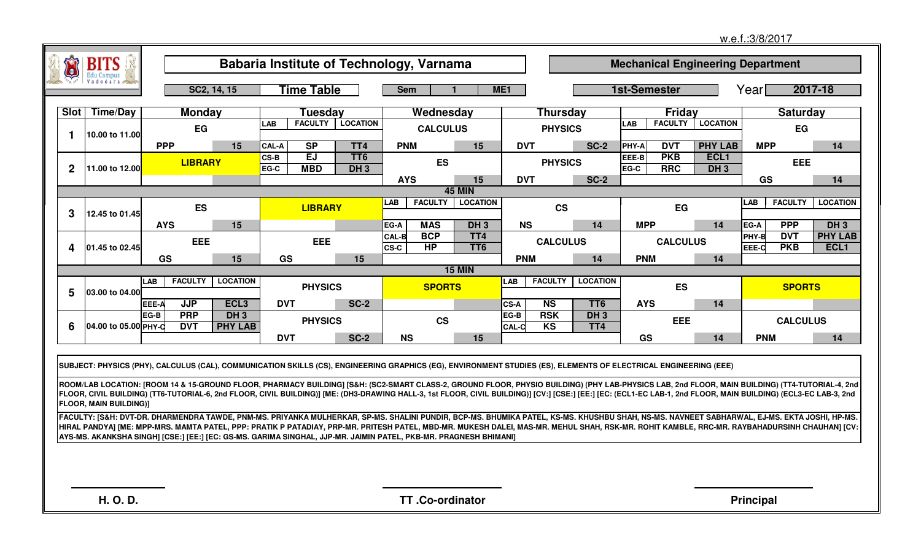|              |                               |                                                                                                                                                                                                                                                                                                                                                                                                                                                                                                                                                                                        |                          |              |                         | Babaria Institute of Technology, Varnama |              |                        |                                    |                      |                              |                 |               |                          | <b>Mechanical Engineering Department</b> |                  |                 |                 |
|--------------|-------------------------------|----------------------------------------------------------------------------------------------------------------------------------------------------------------------------------------------------------------------------------------------------------------------------------------------------------------------------------------------------------------------------------------------------------------------------------------------------------------------------------------------------------------------------------------------------------------------------------------|--------------------------|--------------|-------------------------|------------------------------------------|--------------|------------------------|------------------------------------|----------------------|------------------------------|-----------------|---------------|--------------------------|------------------------------------------|------------------|-----------------|-----------------|
|              |                               | SC2, 14, 15                                                                                                                                                                                                                                                                                                                                                                                                                                                                                                                                                                            |                          |              | <b>Time Table</b>       |                                          | <b>Sem</b>   |                        |                                    | ME <sub>1</sub>      |                              |                 |               | <b>1st-Semester</b>      |                                          | Yearl            |                 | 2017-18         |
| <b>Slot</b>  | <b>Time/Day</b>               | <b>Monday</b>                                                                                                                                                                                                                                                                                                                                                                                                                                                                                                                                                                          |                          |              | Tuesdav                 |                                          |              | Wednesday              |                                    |                      | Thursday                     |                 |               | <b>Fridav</b>            |                                          |                  | <b>Saturday</b> |                 |
| $\mathbf 1$  | 10.00 to 11.00                | EG                                                                                                                                                                                                                                                                                                                                                                                                                                                                                                                                                                                     |                          | <b>LAB</b>   | <b>FACULTY</b>          | <b>LOCATION</b>                          |              | <b>CALCULUS</b>        |                                    |                      | <b>PHYSICS</b>               |                 | <b>LAB</b>    | <b>FACULTY</b>           | <b>LOCATION</b>                          |                  | EG              |                 |
|              |                               | <b>PPP</b>                                                                                                                                                                                                                                                                                                                                                                                                                                                                                                                                                                             | 15                       | CAL-A        | SP                      | TT4                                      | <b>PNM</b>   |                        | 15                                 | <b>DVT</b>           |                              | <b>SC-2</b>     | <b>PHY-A</b>  | <b>DVT</b>               | <b>PHY LAB</b>                           | <b>MPP</b>       |                 | 14              |
| $\mathbf{2}$ | 11.00 to 12.00                | <b>LIBRARY</b>                                                                                                                                                                                                                                                                                                                                                                                                                                                                                                                                                                         |                          | CS-B<br>EG-C | <b>EJ</b><br><b>MBD</b> | TT <sub>6</sub><br>$DH_3$                |              | <b>ES</b>              |                                    |                      | <b>PHYSICS</b>               |                 | EEE-B<br>EG-C | <b>PKB</b><br><b>RRC</b> | ECL <sub>1</sub><br>DH <sub>3</sub>      |                  | <b>EEE</b>      |                 |
|              |                               |                                                                                                                                                                                                                                                                                                                                                                                                                                                                                                                                                                                        |                          |              |                         |                                          | <b>AYS</b>   |                        | 15                                 | <b>DVT</b>           |                              | <b>SC-2</b>     |               |                          |                                          | GS               |                 | 14              |
|              |                               | <b>45 MIN</b><br><b>FACULTY</b><br><b>LOCATION</b><br>LAB <sub>.</sub><br><b>LIBRARY</b>                                                                                                                                                                                                                                                                                                                                                                                                                                                                                               |                          |              |                         |                                          |              |                        |                                    |                      |                              |                 |               |                          |                                          | LAB              | <b>FACULTY</b>  | <b>LOCATION</b> |
| 3            | 12.45 to 01.45                |                                                                                                                                                                                                                                                                                                                                                                                                                                                                                                                                                                                        | ES<br><b>CS</b>          |              |                         |                                          |              |                        |                                    |                      |                              |                 |               |                          |                                          |                  |                 |                 |
|              |                               | <b>AYS</b>                                                                                                                                                                                                                                                                                                                                                                                                                                                                                                                                                                             | 15                       |              |                         |                                          | EG-A         | <b>MAS</b>             | DH <sub>3</sub>                    | <b>NS</b>            |                              | 14              | <b>MPP</b>    |                          | 14                                       | EG-A             | <b>PPP</b>      | DH <sub>3</sub> |
|              |                               | EEE                                                                                                                                                                                                                                                                                                                                                                                                                                                                                                                                                                                    |                          |              | <b>EEE</b>              |                                          | <b>CAL-B</b> | <b>BCP</b><br>HP       | TT <sub>4</sub><br>TT <sub>6</sub> |                      | <b>CALCULUS</b>              |                 |               | <b>CALCULUS</b>          |                                          | PHY-B            | <b>DVT</b>      | <b>PHY LAB</b>  |
| 4            | 01.45 to 02.45                | GS                                                                                                                                                                                                                                                                                                                                                                                                                                                                                                                                                                                     | 15                       | GS           |                         | 15                                       | <b>CS-C</b>  |                        |                                    | <b>PNM</b>           |                              | 14              | <b>PNM</b>    |                          | 14                                       | EEE-C            | <b>PKB</b>      | ECL1            |
|              |                               |                                                                                                                                                                                                                                                                                                                                                                                                                                                                                                                                                                                        |                          |              |                         |                                          |              |                        | <b>15 MIN</b>                      |                      |                              |                 |               |                          |                                          |                  |                 |                 |
| 5            | 03.00 to 04.00                | <b>FACULTY</b><br>LAB                                                                                                                                                                                                                                                                                                                                                                                                                                                                                                                                                                  | <b>LOCATION</b>          |              | <b>PHYSICS</b>          |                                          |              | <b>SPORTS</b>          |                                    | <b>LAB</b>           | <b>FACULTY</b>               | <b>LOCATION</b> |               | <b>ES</b>                |                                          |                  | <b>SPORTS</b>   |                 |
|              |                               | <b>JJP</b><br>EEE-A                                                                                                                                                                                                                                                                                                                                                                                                                                                                                                                                                                    | ECL <sub>3</sub>         | <b>DVT</b>   |                         | <b>SC-2</b>                              |              |                        |                                    | <b>CS-A</b>          | <b>NS</b>                    | TT <sub>6</sub> | <b>AYS</b>    |                          | 14                                       |                  |                 |                 |
| 6            | 04.00 to 05.00 PHY-C          | <b>PRP</b><br>EG-B<br><b>DVT</b>                                                                                                                                                                                                                                                                                                                                                                                                                                                                                                                                                       | $DH_3$<br><b>PHY LAB</b> |              | <b>PHYSICS</b>          |                                          |              | <b>CS</b>              |                                    | EG-B<br><b>CAL-C</b> | <b>RSK</b><br>K <sub>S</sub> | $DH_3$<br>TT4   |               | EEE                      |                                          |                  | <b>CALCULUS</b> |                 |
|              |                               |                                                                                                                                                                                                                                                                                                                                                                                                                                                                                                                                                                                        |                          | <b>DVT</b>   |                         | <b>SC-2</b>                              | <b>NS</b>    |                        | 15                                 |                      |                              |                 | GS            |                          | 14                                       | <b>PNM</b>       |                 | 14              |
|              |                               | SUBJECT: PHYSICS (PHY), CALCULUS (CAL), COMMUNICATION SKILLS (CS), ENGINEERING GRAPHICS (EG), ENVIRONMENT STUDIES (ES), ELEMENTS OF ELECTRICAL ENGINEERING (EEE)<br>ROOM/LAB LOCATION: [ROOM 14 & 15-GROUND FLOOR, PHARMACY BUILDING] [S&H: (SC2-SMART CLASS-2, GROUND FLOOR, PHYSIO BUILDING) (PHY LAB-PHYSICS LAB, 2nd FLOOR, MAIN BUILDING) (TT4-TUTORIAL-4, 2nd<br>FLOOR, CIVIL BUILDING) (TT6-TUTORIAL-6, 2nd FLOOR, CIVIL BUILDING)] [ME: (DH3-DRAWING HALL-3, 1st FLOOR, CIVIL BUILDING)] [CV:] [CSE:] [EE:] [EC: (ECL1-EC LAB-1, 2nd FLOOR, MAIN BUILDING) (ECL3-EC LAB-3, 2nd |                          |              |                         |                                          |              |                        |                                    |                      |                              |                 |               |                          |                                          |                  |                 |                 |
|              | <b>FLOOR, MAIN BUILDING)]</b> |                                                                                                                                                                                                                                                                                                                                                                                                                                                                                                                                                                                        |                          |              |                         |                                          |              |                        |                                    |                      |                              |                 |               |                          |                                          |                  |                 |                 |
|              |                               | FACULTY: [S&H: DVT-DR. DHARMENDRA TAWDE, PNM-MS. PRIYANKA MULHERKAR, SP-MS. SHALINI PUNDIR, BCP-MS. BHUMIKA PATEL, KS-MS. KHUSHBU SHAH, NS-MS. NAVNEET SABHARWAL, EJ-MS. EKTA JOSHI, HP-MS.<br>HIRAL PANDYA] [ME: MPP-MRS. MAMTA PATEL, PPP: PRATIK P PATADIAY, PRP-MR. PRITESH PATEL, MBD-MR. MUKESH DALEI, MAS-MR. MEHUL SHAH, RSK-MR. ROHIT KAMBLE, RRC-MR. RAYBAHADURSINH CHAUHAN] [CV:<br>AYS-MS. AKANKSHA SINGH] [CSE:] [EE:] [EC: GS-MS. GARIMA SINGHAL, JJP-MR. JAIMIN PATEL, PKB-MR. PRAGNESH BHIMANI]                                                                        |                          |              |                         |                                          |              |                        |                                    |                      |                              |                 |               |                          |                                          |                  |                 |                 |
|              |                               |                                                                                                                                                                                                                                                                                                                                                                                                                                                                                                                                                                                        |                          |              |                         |                                          |              |                        |                                    |                      |                              |                 |               |                          |                                          |                  |                 |                 |
|              | H. O. D.                      |                                                                                                                                                                                                                                                                                                                                                                                                                                                                                                                                                                                        |                          |              |                         |                                          |              | <b>TT.Co-ordinator</b> |                                    |                      |                              |                 |               |                          |                                          | <b>Principal</b> |                 |                 |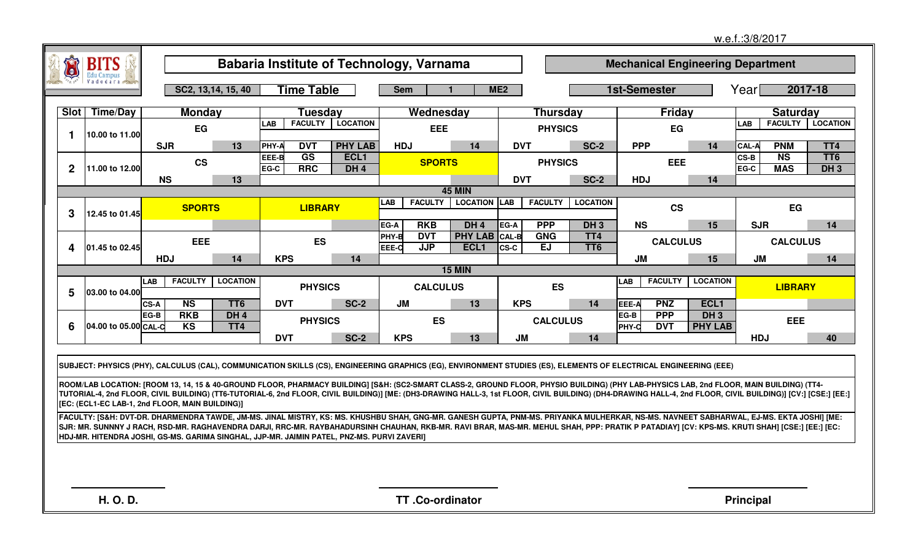|              |                      |                                                                                                                                                                                                                                                                                                                                                                                                                                                                                       |                        |               |                   |                                          |                        |                                 |                                                      |              |                                |                                           |               |                          |                                          | w.e.f.:3/8/2017          |                               |                           |
|--------------|----------------------|---------------------------------------------------------------------------------------------------------------------------------------------------------------------------------------------------------------------------------------------------------------------------------------------------------------------------------------------------------------------------------------------------------------------------------------------------------------------------------------|------------------------|---------------|-------------------|------------------------------------------|------------------------|---------------------------------|------------------------------------------------------|--------------|--------------------------------|-------------------------------------------|---------------|--------------------------|------------------------------------------|--------------------------|-------------------------------|---------------------------|
|              | BITS                 |                                                                                                                                                                                                                                                                                                                                                                                                                                                                                       |                        |               |                   | Babaria Institute of Technology, Varnama |                        |                                 |                                                      |              |                                |                                           |               |                          | <b>Mechanical Engineering Department</b> |                          |                               |                           |
|              |                      |                                                                                                                                                                                                                                                                                                                                                                                                                                                                                       | SC2, 13, 14, 15, 40    |               | <b>Time Table</b> |                                          | <b>Sem</b>             |                                 | $\mathbf{1}$                                         | ME2          |                                |                                           |               | <b>1st-Semester</b>      |                                          | Year                     |                               | 2017-18                   |
| <b>Slot</b>  | Time/Day             | <b>Monday</b>                                                                                                                                                                                                                                                                                                                                                                                                                                                                         |                        |               | Tuesday           |                                          |                        | Wednesday                       |                                                      |              | <b>Thursday</b>                |                                           |               | <b>Friday</b>            |                                          |                          | <b>Saturday</b>               |                           |
| 1            | 10.00 to 11.00       | EG                                                                                                                                                                                                                                                                                                                                                                                                                                                                                    |                        | <b>LAB</b>    | <b>FACULTY</b>    | <b>LOCATION</b>                          |                        | <b>EEE</b>                      |                                                      |              | <b>PHYSICS</b>                 |                                           |               | EG                       |                                          | $\overline{\mathsf{AB}}$ |                               | <b>FACULTY   LOCATION</b> |
|              |                      | <b>SJR</b>                                                                                                                                                                                                                                                                                                                                                                                                                                                                            | 13                     | <b>PHY-A</b>  | <b>DVT</b>        | <b>PHY LAB</b>                           | <b>HDJ</b>             |                                 | 14                                                   | <b>DVT</b>   |                                | $SC-2$                                    | <b>PPP</b>    |                          | 14                                       | <b>CAL-A</b>             | <b>PNM</b>                    | TT4                       |
| $\mathbf{2}$ | 11.00 to 12.00       | $\mathsf{CS}\phantom{0}$                                                                                                                                                                                                                                                                                                                                                                                                                                                              |                        | EEE-B<br>EG-C | GS<br><b>RRC</b>  | ECL <sub>1</sub><br>DH <sub>4</sub>      |                        | <b>SPORTS</b>                   |                                                      |              | <b>PHYSICS</b>                 |                                           |               | <b>EEE</b>               |                                          | CS-B<br>EG-C             | $\overline{NS}$<br><b>MAS</b> | TT <sub>6</sub><br>$DH_3$ |
|              |                      | <b>NS</b>                                                                                                                                                                                                                                                                                                                                                                                                                                                                             | 13                     |               |                   |                                          |                        |                                 |                                                      | <b>DVT</b>   |                                | <b>SC-2</b>                               | <b>HDJ</b>    |                          | 14                                       |                          |                               |                           |
|              |                      |                                                                                                                                                                                                                                                                                                                                                                                                                                                                                       |                        |               |                   |                                          | <b>LAB</b>             | <b>FACULTY</b>                  | <b>45 MIN</b><br><b>LOCATION LAB</b>                 |              | <b>FACULTY</b>                 | <b>LOCATION</b>                           |               |                          |                                          |                          |                               |                           |
| 3            | 12.45 to 01.45       | <b>SPORTS</b>                                                                                                                                                                                                                                                                                                                                                                                                                                                                         |                        |               | <b>LIBRARY</b>    |                                          |                        |                                 |                                                      |              |                                |                                           |               | <b>CS</b>                |                                          |                          | EG                            |                           |
| 4            | 01.45 to 02.45       | <b>EEE</b>                                                                                                                                                                                                                                                                                                                                                                                                                                                                            |                        |               | <b>ES</b>         |                                          | EG-A<br>PHY-B<br>EEE-C | <b>RKB</b><br><b>DVT</b><br>JJP | DH <sub>4</sub><br>PHY LAB CAL-B<br>ECL <sub>1</sub> | EG-A<br>CS-C | <b>PPP</b><br><b>GNG</b><br>EJ | DH <sub>3</sub><br>TT4<br>TT <sub>6</sub> | <b>NS</b>     | <b>CALCULUS</b>          | 15                                       | <b>SJR</b>               | <b>CALCULUS</b>               | 14                        |
|              |                      | <b>HDJ</b>                                                                                                                                                                                                                                                                                                                                                                                                                                                                            | 14                     | <b>KPS</b>    |                   | 14                                       |                        |                                 |                                                      |              |                                |                                           | <b>JM</b>     |                          | 15                                       | <b>JM</b>                |                               | 14                        |
|              |                      |                                                                                                                                                                                                                                                                                                                                                                                                                                                                                       |                        |               |                   |                                          |                        |                                 | <b>15 MIN</b>                                        |              |                                |                                           |               |                          |                                          |                          |                               |                           |
| 5            | 03.00 to 04.00       | <b>FACULTY</b><br><b>LAB</b>                                                                                                                                                                                                                                                                                                                                                                                                                                                          | <b>LOCATION</b>        |               | <b>PHYSICS</b>    |                                          |                        | <b>CALCULUS</b>                 |                                                      |              | <b>ES</b>                      |                                           | <b>LAB</b>    | <b>FACULTY</b>           | <b>LOCATION</b>                          |                          | <b>LIBRARY</b>                |                           |
|              |                      | N <sub>S</sub><br>CS-A                                                                                                                                                                                                                                                                                                                                                                                                                                                                | TT <sub>6</sub>        | <b>DVT</b>    |                   | <b>SC-2</b>                              | <b>JM</b>              |                                 | 13                                                   | <b>KPS</b>   |                                | 14                                        | EEE-A         | <b>PNZ</b>               | ECL <sub>1</sub>                         |                          |                               |                           |
| 6            | 04.00 to 05.00 CAL-C | <b>RKB</b><br>EG-B<br>K <sub>S</sub>                                                                                                                                                                                                                                                                                                                                                                                                                                                  | DH <sub>4</sub><br>TT4 |               | <b>PHYSICS</b>    |                                          |                        | <b>ES</b>                       |                                                      |              | <b>CALCULUS</b>                |                                           | EG-B<br>PHY-C | <b>PPP</b><br><b>DVT</b> | <b>DH3</b><br><b>PHY LAB</b>             |                          | <b>EEE</b>                    |                           |
|              |                      |                                                                                                                                                                                                                                                                                                                                                                                                                                                                                       |                        | <b>DVT</b>    |                   | <b>SC-2</b>                              | <b>KPS</b>             |                                 | 13                                                   | <b>JM</b>    |                                | 14                                        |               |                          |                                          | <b>HDJ</b>               |                               | 40                        |
|              |                      | SUBJECT: PHYSICS (PHY), CALCULUS (CAL), COMMUNICATION SKILLS (CS), ENGINEERING GRAPHICS (EG), ENVIRONMENT STUDIES (ES), ELEMENTS OF ELECTRICAL ENGINEERING (EEE)                                                                                                                                                                                                                                                                                                                      |                        |               |                   |                                          |                        |                                 |                                                      |              |                                |                                           |               |                          |                                          |                          |                               |                           |
|              |                      | ROOM/LAB LOCATION: [ROOM 13, 14, 15 & 40-GROUND FLOOR, PHARMACY BUILDING] [S&H: (SC2-SMART CLASS-2, GROUND FLOOR, PHYSIO BUILDING) (PHY LAB-PHYSICS LAB, 2nd FLOOR, MAIN BUILDING) (TT4-<br>TUTORIAL-4, 2nd FLOOR, CIVIL BUILDING) (TT6-TUTORIAL-6, 2nd FLOOR, CIVIL BUILDING)] [ME: (DH3-DRAWING HALL-3, 1st FLOOR, CIVIL BUILDING) (DH4-DRAWING HALL-4, 2nd FLOOR, CIVIL BUILDING)] [CV:] [CSE:] [EE:]<br>[EC: (ECL1-EC LAB-1, 2nd FLOOR, MAIN BUILDING)]                           |                        |               |                   |                                          |                        |                                 |                                                      |              |                                |                                           |               |                          |                                          |                          |                               |                           |
|              |                      | FACULTY: [S&H: DVT-DR. DHARMENDRA TAWDE, JM-MS. JINAL MISTRY, KS: MS. KHUSHBU SHAH, GNG-MR. GANESH GUPTA, PNM-MS. PRIYANKA MULHERKAR, NS-MS. NAVNEET SABHARWAL, EJ-MS. EKTA JOSHI] [ME:<br>SJR: MR. SUNNNY J RACH, RSD-MR. RAGHAVENDRA DARJI, RRC-MR. RAYBAHADURSINH CHAUHAN, RKB-MR. RAVI BRAR, MAS-MR. MEHUL SHAH, PPP: PRATIK P PATADIAY] [CV: KPS-MS. KRUTI SHAH] [CSE:] [EE:] [EC:<br>HDJ-MR. HITENDRA JOSHI, GS-MS. GARIMA SINGHAL, JJP-MR. JAIMIN PATEL, PNZ-MS. PURVI ZAVERI] |                        |               |                   |                                          |                        |                                 |                                                      |              |                                |                                           |               |                          |                                          |                          |                               |                           |
|              |                      |                                                                                                                                                                                                                                                                                                                                                                                                                                                                                       |                        |               |                   |                                          |                        |                                 |                                                      |              |                                |                                           |               |                          |                                          |                          |                               |                           |
|              |                      |                                                                                                                                                                                                                                                                                                                                                                                                                                                                                       |                        |               |                   |                                          |                        |                                 |                                                      |              |                                |                                           |               |                          |                                          |                          |                               |                           |
|              | <b>H.O.D.</b>        |                                                                                                                                                                                                                                                                                                                                                                                                                                                                                       |                        |               |                   |                                          |                        | TT.Co-ordinator                 |                                                      |              |                                |                                           |               |                          |                                          | <b>Principal</b>         |                               |                           |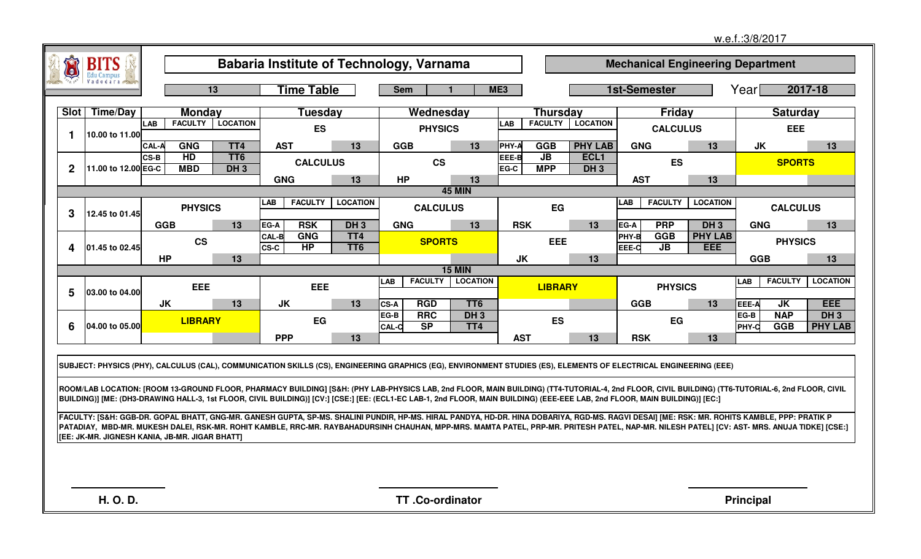|                                |                                                |              |                  |                           |                                                                                                                                                                                                                                                                                                                                                                                            |                                    |                                         |                                  |                 |                               |                            |                     |                                        |                                          | w.e.f.:3/8/2017  |                          |                          |
|--------------------------------|------------------------------------------------|--------------|------------------|---------------------------|--------------------------------------------------------------------------------------------------------------------------------------------------------------------------------------------------------------------------------------------------------------------------------------------------------------------------------------------------------------------------------------------|------------------------------------|-----------------------------------------|----------------------------------|-----------------|-------------------------------|----------------------------|---------------------|----------------------------------------|------------------------------------------|------------------|--------------------------|--------------------------|
| $\leftrightarrow$<br>$\bullet$ | <b>BITS</b>                                    |              |                  |                           | Babaria Institute of Technology, Varnama                                                                                                                                                                                                                                                                                                                                                   |                                    |                                         |                                  |                 |                               |                            |                     |                                        | <b>Mechanical Engineering Department</b> |                  |                          |                          |
|                                | <b>Edu Campus</b>                              |              |                  | $\overline{13}$           | <b>Time Table</b>                                                                                                                                                                                                                                                                                                                                                                          |                                    | <b>Sem</b>                              |                                  | ME <sub>3</sub> |                               |                            | <b>1st-Semester</b> |                                        |                                          | Yearl            |                          | 2017-18                  |
|                                | Slot   Time/Day                                |              | <b>Monday</b>    |                           | Tuesday                                                                                                                                                                                                                                                                                                                                                                                    |                                    |                                         | Wednesday                        |                 | <b>Thursday</b>               |                            |                     | Friday                                 |                                          |                  | <b>Saturday</b>          |                          |
|                                |                                                | <b>LAB</b>   | <b>FACULTY</b>   | <b>LOCATION</b>           | <b>ES</b>                                                                                                                                                                                                                                                                                                                                                                                  |                                    |                                         | <b>PHYSICS</b>                   | LAB             |                               | <b>FACULTY LOCATION</b>    |                     | <b>CALCULUS</b>                        |                                          |                  | <b>EEE</b>               |                          |
| -1                             | 10.00 to 11.00                                 | <b>CAL-A</b> | <b>GNG</b>       | TT4                       | <b>AST</b>                                                                                                                                                                                                                                                                                                                                                                                 | 13                                 | <b>GGB</b>                              | 13                               | PHY-A           | GGB                           | <b>PHY LAB</b>             | <b>GNG</b>          |                                        | 13                                       | <b>JK</b>        |                          | 13                       |
| $\mathbf 2$                    | 11.00 to 12.00 EG-C                            | <b>CS-B</b>  | HD<br><b>MBD</b> | TT <sub>6</sub><br>$DH_3$ | <b>CALCULUS</b>                                                                                                                                                                                                                                                                                                                                                                            |                                    |                                         | <b>CS</b>                        | EEE-B<br>EG-C   | $\overline{JB}$<br><b>MPP</b> | ECL <sub>1</sub><br>$DH_3$ |                     | <b>ES</b>                              |                                          |                  | <b>SPORTS</b>            |                          |
|                                |                                                |              |                  |                           | <b>GNG</b>                                                                                                                                                                                                                                                                                                                                                                                 | 13                                 | <b>HP</b>                               | 13                               |                 |                               |                            | <b>AST</b>          |                                        | 13                                       |                  |                          |                          |
|                                |                                                |              | <b>PHYSICS</b>   |                           | <b>FACULTY</b><br>LAB                                                                                                                                                                                                                                                                                                                                                                      | <b>LOCATION</b>                    |                                         | <b>45 MIN</b><br><b>CALCULUS</b> |                 | EG                            |                            | <b>LAB</b>          | <b>FACULTY</b>                         | <b>LOCATION</b>                          |                  | <b>CALCULUS</b>          |                          |
| 3                              | 12.45 to 01.45                                 |              | <b>GGB</b>       | 13                        | <b>RSK</b><br>EG-A                                                                                                                                                                                                                                                                                                                                                                         | DH <sub>3</sub>                    | <b>GNG</b>                              | 13                               | <b>RSK</b>      |                               | 13                         | EG-A                | <b>PRP</b>                             | DH <sub>3</sub>                          | <b>GNG</b>       |                          | 13                       |
| 4                              | 01.45 to 02.45                                 |              | <b>CS</b>        |                           | <b>GNG</b><br><b>CAL-B</b><br>HP<br>CS-C                                                                                                                                                                                                                                                                                                                                                   | TT <sub>4</sub><br>TT <sub>6</sub> |                                         | <b>SPORTS</b>                    |                 | <b>EEE</b>                    |                            | PHY-B<br>EEE-C      | <b>GGB</b><br>$\overline{\mathsf{JB}}$ | <b>PHY LAB</b><br><b>EEE</b>             |                  | <b>PHYSICS</b>           |                          |
|                                |                                                |              | <b>HP</b>        | 13                        |                                                                                                                                                                                                                                                                                                                                                                                            |                                    |                                         |                                  | <b>JK</b>       |                               | 13                         |                     |                                        |                                          | <b>GGB</b>       |                          | 13                       |
|                                |                                                |              |                  |                           |                                                                                                                                                                                                                                                                                                                                                                                            |                                    | <b>FACULTY</b><br>LAB                   | <b>15 MIN</b><br><b>LOCATION</b> |                 |                               |                            |                     |                                        |                                          | LAB              | <b>FACULTY</b>           | <b>LOCATION</b>          |
| 5                              | 03.00 to 04.00                                 |              | <b>EEE</b>       |                           | EEE                                                                                                                                                                                                                                                                                                                                                                                        |                                    |                                         |                                  |                 | <b>LIBRARY</b>                |                            |                     | <b>PHYSICS</b>                         |                                          |                  |                          |                          |
|                                |                                                |              | <b>JK</b>        | 13                        | JK                                                                                                                                                                                                                                                                                                                                                                                         | 13                                 | CS-A<br><b>RGD</b>                      | TT <sub>6</sub>                  |                 |                               |                            | <b>GGB</b>          |                                        | 13                                       | EEE-A            | <b>JK</b>                | <b>EEE</b>               |
| 6                              | 04.00 to 05.00                                 |              | <b>LIBRARY</b>   |                           | EG                                                                                                                                                                                                                                                                                                                                                                                         |                                    | <b>RRC</b><br>EG-B<br>S<br><b>CAL-C</b> | $DH_3$<br>TT4                    |                 | <b>ES</b>                     |                            |                     | EG                                     |                                          | EG-B<br>PHY-C    | <b>NAP</b><br><b>GGB</b> | $DH_3$<br><b>PHY LAB</b> |
|                                |                                                |              |                  |                           | <b>PPP</b>                                                                                                                                                                                                                                                                                                                                                                                 | 13                                 |                                         |                                  | <b>AST</b>      |                               | 13                         | <b>RSK</b>          |                                        | 13                                       |                  |                          |                          |
|                                |                                                |              |                  |                           | SUBJECT: PHYSICS (PHY), CALCULUS (CAL), COMMUNICATION SKILLS (CS), ENGINEERING GRAPHICS (EG), ENVIRONMENT STUDIES (ES), ELEMENTS OF ELECTRICAL ENGINEERING (EEE)                                                                                                                                                                                                                           |                                    |                                         |                                  |                 |                               |                            |                     |                                        |                                          |                  |                          |                          |
|                                |                                                |              |                  |                           | ROOM/LAB LOCATION: [ROOM 13-GROUND FLOOR, PHARMACY BUILDING] [S&H: (PHY LAB-PHYSICS LAB, 2nd FLOOR, MAIN BUILDING) (TT4-TUTORIAL-4, 2nd FLOOR, CIVIL BUILDING) (TT6-TUTORIAL-6, 2nd FLOOR, CIVIL<br>BUILDING)] [ME: (DH3-DRAWING HALL-3, 1st FLOOR, CIVIL BUILDING)] [CV:] [CSE:] [EE: (ECL1-EC LAB-1, 2nd FLOOR, MAIN BUILDING) (EEE-EEE LAB, 2nd FLOOR, MAIN BUILDING)] [EC:]            |                                    |                                         |                                  |                 |                               |                            |                     |                                        |                                          |                  |                          |                          |
|                                | [EE: JK-MR. JIGNESH KANIA, JB-MR. JIGAR BHATT] |              |                  |                           | FACULTY: [S&H: GGB-DR. GOPAL BHATT, GNG-MR. GANESH GUPTA, SP-MS. SHALINI PUNDIR, HP-MS. HIRAL PANDYA, HD-DR. HINA DOBARIYA, RGD-MS. RAGVI DESAI] [ME: RSK: MR. ROHITS KAMBLE, PPP: PRATIK P<br>PATADIAY, MBD-MR. MUKESH DALEI, RSK-MR. ROHIT KAMBLE, RRC-MR. RAYBAHADURSINH CHAUHAN, MPP-MRS. MAMTA PATEL, PRP-MR. PRITESH PATEL, NAP-MR. NILESH PATEL] [CV: AST- MRS. ANUJA TIDKE] [CSE:] |                                    |                                         |                                  |                 |                               |                            |                     |                                        |                                          |                  |                          |                          |
|                                |                                                |              |                  |                           |                                                                                                                                                                                                                                                                                                                                                                                            |                                    |                                         |                                  |                 |                               |                            |                     |                                        |                                          |                  |                          |                          |
|                                |                                                |              |                  |                           |                                                                                                                                                                                                                                                                                                                                                                                            |                                    |                                         |                                  |                 |                               |                            |                     |                                        |                                          |                  |                          |                          |
|                                | <b>H.O.D.</b>                                  |              |                  |                           |                                                                                                                                                                                                                                                                                                                                                                                            |                                    |                                         | TT.Co-ordinator                  |                 |                               |                            |                     |                                        |                                          | <b>Principal</b> |                          |                          |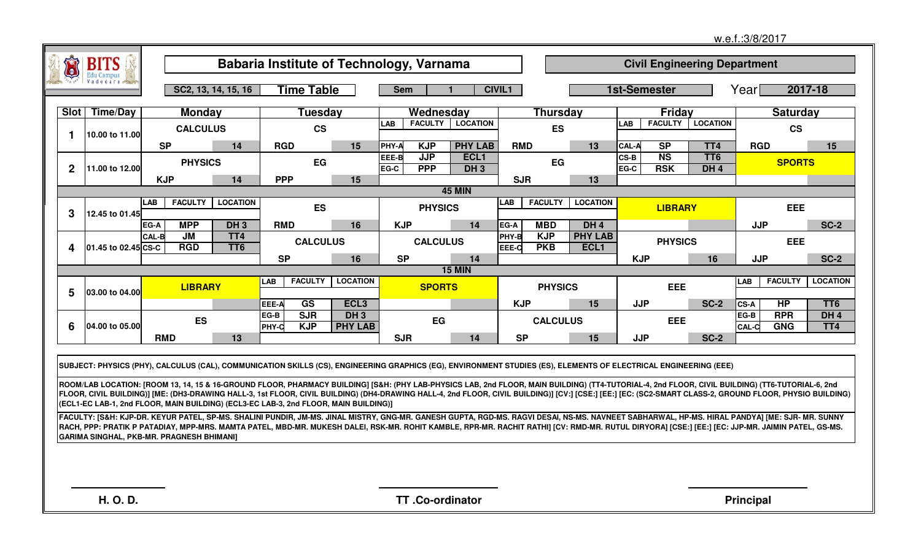|              |                                  |                                                                                                                                                                                                                                                                                                                                                                                                   |                        |                                          |                  |                                           |                     |                |                          |                                    |              |                              |                                     | w.e.f.:3/8/2017  |                 |                 |
|--------------|----------------------------------|---------------------------------------------------------------------------------------------------------------------------------------------------------------------------------------------------------------------------------------------------------------------------------------------------------------------------------------------------------------------------------------------------|------------------------|------------------------------------------|------------------|-------------------------------------------|---------------------|----------------|--------------------------|------------------------------------|--------------|------------------------------|-------------------------------------|------------------|-----------------|-----------------|
| THE<br>o)    | <b>BITS</b><br><b>Edu Campus</b> |                                                                                                                                                                                                                                                                                                                                                                                                   |                        | Babaria Institute of Technology, Varnama |                  |                                           |                     |                |                          |                                    |              |                              | <b>Civil Engineering Department</b> |                  |                 |                 |
|              | Vadodára                         |                                                                                                                                                                                                                                                                                                                                                                                                   | SC2, 13, 14, 15, 16    | <b>Time Table</b>                        |                  | <b>Sem</b>                                |                     | <b>CIVIL1</b>  |                          |                                    | 1st-Semester |                              |                                     | Yearl            | 2017-18         |                 |
| Slot         | <b>Time/Day</b>                  | <b>Monday</b>                                                                                                                                                                                                                                                                                                                                                                                     |                        | Tuesday                                  |                  | Wednesday                                 |                     |                | <b>Thursday</b>          |                                    |              | Friday                       |                                     |                  | <b>Saturday</b> |                 |
|              |                                  | <b>CALCULUS</b>                                                                                                                                                                                                                                                                                                                                                                                   |                        | <b>CS</b>                                |                  | LAB<br><b>FACULTY</b>                     | <b>LOCATION</b>     |                | <b>ES</b>                |                                    | <b>LAB</b>   | <b>FACULTY</b>               | <b>LOCATION</b>                     |                  | <b>CS</b>       |                 |
| $\mathbf 1$  | 10.00 to 11.00                   | <b>SP</b>                                                                                                                                                                                                                                                                                                                                                                                         | 14                     | <b>RGD</b>                               | 15               | PHY-A<br><b>KJP</b>                       | <b>PHY LAB</b>      | <b>RMD</b>     |                          | 13                                 | <b>CAL-A</b> | S <sub>P</sub>               | TT4                                 | <b>RGD</b>       |                 | 15              |
| $\mathbf{2}$ | 11.00 to 12.00                   | <b>PHYSICS</b>                                                                                                                                                                                                                                                                                                                                                                                    |                        | EG                                       |                  | <b>JJP</b><br>EEE-B<br><b>PPP</b><br>EG-C | ECL1<br>DH3         |                | EG                       |                                    | CS-B<br>EG-C | N <sub>S</sub><br><b>RSK</b> | TT <sub>6</sub><br>DH <sub>4</sub>  |                  | <b>SPORTS</b>   |                 |
|              |                                  | <b>KJP</b>                                                                                                                                                                                                                                                                                                                                                                                        | 14                     | <b>PPP</b>                               | 15               |                                           |                     | <b>SJR</b>     |                          | 13                                 |              |                              |                                     |                  |                 |                 |
|              |                                  | <b>FACULTY</b><br>LAB                                                                                                                                                                                                                                                                                                                                                                             | <b>LOCATION</b>        |                                          |                  |                                           | <b>45 MIN</b>       | <b>LAB</b>     | <b>FACULTY</b>           | <b>LOCATION</b>                    |              |                              |                                     |                  |                 |                 |
| 3            | 12.45 to 01.45                   |                                                                                                                                                                                                                                                                                                                                                                                                   |                        | <b>ES</b>                                |                  | <b>PHYSICS</b>                            |                     |                |                          |                                    |              | <b>LIBRARY</b>               |                                     |                  | EEE             |                 |
|              |                                  | <b>MPP</b><br>EG-A                                                                                                                                                                                                                                                                                                                                                                                | DH <sub>3</sub>        | <b>RMD</b>                               | 16               | <b>KJP</b>                                | 14                  | EG-A           | <b>MBD</b>               | DH <sub>4</sub>                    |              |                              |                                     | <b>JJP</b>       |                 | <b>SC-2</b>     |
| 4            | 01.45 to 02.45 CS-C              | CAL-B<br>JM<br><b>RGD</b>                                                                                                                                                                                                                                                                                                                                                                         | TT4<br>TT <sub>6</sub> | <b>CALCULUS</b>                          |                  | <b>CALCULUS</b>                           |                     | PHY-B<br>EEE-C | <b>KJP</b><br><b>PKB</b> | <b>PHY LAB</b><br>ECL <sub>1</sub> |              | <b>PHYSICS</b>               |                                     |                  | <b>EEE</b>      |                 |
|              |                                  |                                                                                                                                                                                                                                                                                                                                                                                                   |                        | <b>SP</b>                                | 16               | <b>SP</b>                                 | 14<br><b>15 MIN</b> |                |                          |                                    | <b>KJP</b>   |                              | 16                                  | <b>JJP</b>       |                 | <b>SC-2</b>     |
|              |                                  | <b>LIBRARY</b>                                                                                                                                                                                                                                                                                                                                                                                    |                        | <b>FACULTY</b><br>LAB                    | <b>LOCATION</b>  | <b>SPORTS</b>                             |                     |                | <b>PHYSICS</b>           |                                    |              | <b>EEE</b>                   |                                     | LAB              | <b>FACULTY</b>  | <b>LOCATION</b> |
| 5            | 03.00 to 04.00                   |                                                                                                                                                                                                                                                                                                                                                                                                   |                        | $\overline{\text{GS}}$<br>EEE-A          | ECL <sub>3</sub> |                                           |                     | <b>KJP</b>     |                          | 15                                 | <b>JJP</b>   |                              | <b>SC-2</b>                         | <b>CS-A</b>      | <b>HP</b>       | TT <sub>6</sub> |
|              |                                  |                                                                                                                                                                                                                                                                                                                                                                                                   |                        | SJR<br>EG-B                              | $DH_3$           |                                           |                     |                |                          |                                    |              |                              |                                     | EG-B             | <b>RPR</b>      | DH <sub>4</sub> |
| 6            | 04.00 to 05.00                   | <b>ES</b>                                                                                                                                                                                                                                                                                                                                                                                         |                        | <b>KJP</b><br>PHY-C                      | <b>PHY LAB</b>   | EG                                        |                     |                | <b>CALCULUS</b>          |                                    |              | <b>EEE</b>                   |                                     | CAL-C            | <b>GNG</b>      | TT4             |
|              |                                  | <b>RMD</b>                                                                                                                                                                                                                                                                                                                                                                                        | 13                     |                                          |                  | <b>SJR</b>                                | 14                  | <b>SP</b>      |                          | 15                                 | <b>JJP</b>   |                              | <b>SC-2</b>                         |                  |                 |                 |
|              |                                  |                                                                                                                                                                                                                                                                                                                                                                                                   |                        |                                          |                  |                                           |                     |                |                          |                                    |              |                              |                                     |                  |                 |                 |
|              |                                  | SUBJECT: PHYSICS (PHY), CALCULUS (CAL), COMMUNICATION SKILLS (CS), ENGINEERING GRAPHICS (EG), ENVIRONMENT STUDIES (ES), ELEMENTS OF ELECTRICAL ENGINEERING (EEE)                                                                                                                                                                                                                                  |                        |                                          |                  |                                           |                     |                |                          |                                    |              |                              |                                     |                  |                 |                 |
|              |                                  | ROOM/LAB LOCATION: [ROOM 13, 14, 15 & 16-GROUND FLOOR, PHARMACY BUILDING] [S&H: (PHY LAB-PHYSICS LAB, 2nd FLOOR, MAIN BUILDING) (TT4-TUTORIAL-4, 2nd FLOOR, CIVIL BUILDING) (TT6-TUTORIAL-6, 2nd                                                                                                                                                                                                  |                        |                                          |                  |                                           |                     |                |                          |                                    |              |                              |                                     |                  |                 |                 |
|              |                                  | FLOOR, CIVIL BUILDING)] [ME: (DH3-DRAWING HALL-3, 1st FLOOR, CIVIL BUILDING) (DH4-DRAWING HALL-4, 2nd FLOOR, CIVIL BUILDING)] [CV:] [CSE:] [EE:] [EC: (SC2-SMART CLASS-2, GROUND FLOOR, PHYSIO BUILDING)<br>(ECL1-EC LAB-1, 2nd FLOOR, MAIN BUILDING) (ECL3-EC LAB-3, 2nd FLOOR, MAIN BUILDING)]                                                                                                  |                        |                                          |                  |                                           |                     |                |                          |                                    |              |                              |                                     |                  |                 |                 |
|              |                                  | FACULTY: [S&H: KJP-DR. KEYUR PATEL, SP-MS. SHALINI PUNDIR, JM-MS. JINAL MISTRY, GNG-MR. GANESH GUPTA, RGD-MS. RAGVI DESAI, NS-MS. NAVNEET SABHARWAL, HP-MS. HIRAL PANDYA] [ME: SJR- MR. SUNNY<br>RACH, PPP: PRATIK P PATADIAY, MPP-MRS. MAMTA PATEL, MBD-MR. MUKESH DALEI, RSK-MR. ROHIT KAMBLE, RPR-MR. RACHIT RATHI] [CV: RMD-MR. RUTUL DIRYORA] [CSE:] [EE:] [EC: JJP-MR. JAIMIN PATEL, GS-MS. |                        |                                          |                  |                                           |                     |                |                          |                                    |              |                              |                                     |                  |                 |                 |
|              |                                  | GARIMA SINGHAL, PKB-MR. PRAGNESH BHIMANI]                                                                                                                                                                                                                                                                                                                                                         |                        |                                          |                  |                                           |                     |                |                          |                                    |              |                              |                                     |                  |                 |                 |
|              |                                  |                                                                                                                                                                                                                                                                                                                                                                                                   |                        |                                          |                  |                                           |                     |                |                          |                                    |              |                              |                                     |                  |                 |                 |
|              |                                  |                                                                                                                                                                                                                                                                                                                                                                                                   |                        |                                          |                  |                                           |                     |                |                          |                                    |              |                              |                                     |                  |                 |                 |
|              | H. O. D.                         |                                                                                                                                                                                                                                                                                                                                                                                                   |                        |                                          |                  | TT.Co-ordinator                           |                     |                |                          |                                    |              |                              |                                     | <b>Principal</b> |                 |                 |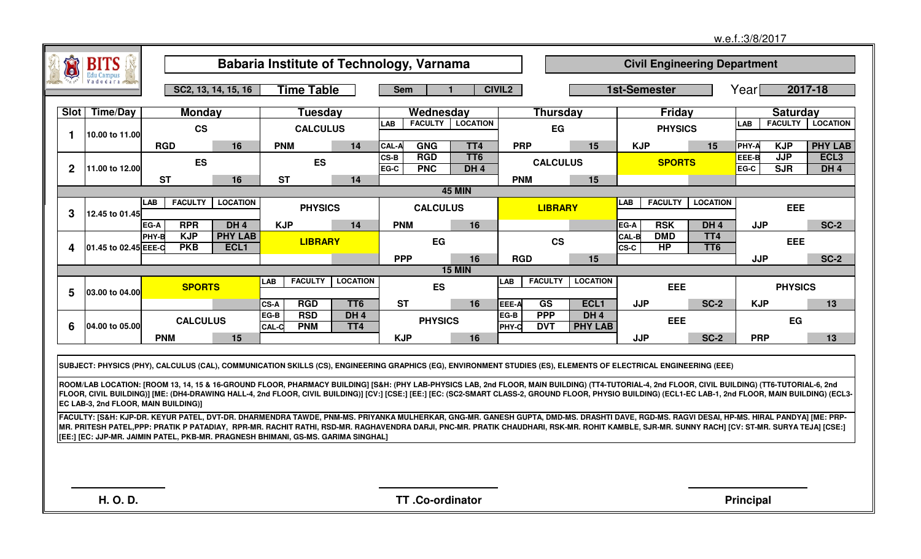|              |                        |                                                                                   |                        |                                                  |                        |                                                                                                                                                                                                                                                                                                                                                                                            |                                    |                      |                          |                                   |                             |                         |                                     | w.e.f.:3/8/2017  |                          |                                     |
|--------------|------------------------|-----------------------------------------------------------------------------------|------------------------|--------------------------------------------------|------------------------|--------------------------------------------------------------------------------------------------------------------------------------------------------------------------------------------------------------------------------------------------------------------------------------------------------------------------------------------------------------------------------------------|------------------------------------|----------------------|--------------------------|-----------------------------------|-----------------------------|-------------------------|-------------------------------------|------------------|--------------------------|-------------------------------------|
|              | <b>BITS</b>            |                                                                                   |                        |                                                  |                        | Babaria Institute of Technology, Varnama                                                                                                                                                                                                                                                                                                                                                   |                                    |                      |                          |                                   |                             |                         | <b>Civil Engineering Department</b> |                  |                          |                                     |
|              | Edu Campus<br>Vadodara |                                                                                   | SC2, 13, 14, 15, 16    | <b>Time Table</b>                                |                        | <b>Sem</b>                                                                                                                                                                                                                                                                                                                                                                                 |                                    | <b>CIVIL2</b>        |                          |                                   | <b>1st-Semester</b>         |                         |                                     | Yearl            |                          | 2017-18                             |
|              | Slot   Time/Day        | <b>Monday</b>                                                                     |                        | Tuesday                                          |                        | Wednesday                                                                                                                                                                                                                                                                                                                                                                                  |                                    |                      | <b>Thursday</b>          |                                   |                             | Friday                  |                                     |                  | <b>Saturday</b>          |                                     |
| 1            | 10.00 to 11.00         | $\mathbf{c}\mathbf{s}$                                                            |                        | <b>CALCULUS</b>                                  |                        | <b>LAB</b><br><b>FACULTY</b>                                                                                                                                                                                                                                                                                                                                                               | <b>LOCATION</b>                    |                      | EG                       |                                   |                             | <b>PHYSICS</b>          |                                     | <b>LAB</b>       |                          | <b>FACULTY   LOCATION</b>           |
|              |                        | <b>RGD</b>                                                                        | 16                     | <b>PNM</b>                                       | 14                     | <b>GNG</b><br><b>CAL-A</b>                                                                                                                                                                                                                                                                                                                                                                 | TT4                                | <b>PRP</b>           |                          | 15                                | <b>KJP</b>                  |                         | 15                                  | PHY-/            | <b>KJP</b>               | <b>PHY LAB</b>                      |
| $\mathbf{2}$ | 11.00 to 12.00         | <b>ES</b>                                                                         |                        | <b>ES</b>                                        |                        | $CS-B$<br><b>RGD</b><br><b>PNC</b><br>EG-C                                                                                                                                                                                                                                                                                                                                                 | TT <sub>6</sub><br>DH <sub>4</sub> |                      | <b>CALCULUS</b>          |                                   |                             | <b>SPORTS</b>           |                                     | EEE-B<br>EG-C    | <b>JJP</b><br><b>SJR</b> | ECL <sub>3</sub><br>DH <sub>4</sub> |
|              |                        | <b>ST</b>                                                                         | 16                     | <b>ST</b>                                        | 14                     |                                                                                                                                                                                                                                                                                                                                                                                            |                                    | <b>PNM</b>           |                          | 15                                |                             |                         |                                     |                  |                          |                                     |
| 3            | 12.45 to 01.45         | <b>FACULTY</b><br>LAB                                                             | <b>LOCATION</b>        | <b>PHYSICS</b>                                   |                        | <b>CALCULUS</b>                                                                                                                                                                                                                                                                                                                                                                            | <b>45 MIN</b>                      |                      | <b>LIBRARY</b>           |                                   | <b>LAB</b>                  | <b>FACULTY</b>          | <b>LOCATION</b>                     |                  | <b>EEE</b>               |                                     |
|              |                        | <b>RPR</b><br>EG-A                                                                | DH <sub>4</sub>        | <b>KJP</b>                                       | 14                     | <b>PNM</b>                                                                                                                                                                                                                                                                                                                                                                                 | 16                                 |                      |                          |                                   | EG-A                        | <b>RSK</b>              | DH <sub>4</sub>                     | <b>JJP</b>       |                          | <b>SC-2</b>                         |
| 4            | 01.45 to 02.45 EEE-C   | <b>KJP</b><br>PHY-B<br><b>PKB</b>                                                 | <b>PHY LAB</b><br>ECL1 | <b>LIBRARY</b>                                   |                        | EG                                                                                                                                                                                                                                                                                                                                                                                         |                                    |                      | <b>CS</b>                |                                   | <b>CAL-B</b><br><b>CS-C</b> | <b>DMD</b><br><b>HP</b> | TT <sub>4</sub><br>TT <sub>6</sub>  |                  | <b>EEE</b>               |                                     |
|              |                        |                                                                                   |                        |                                                  |                        | <b>PPP</b>                                                                                                                                                                                                                                                                                                                                                                                 | 16<br><b>15 MIN</b>                | <b>RGD</b>           |                          | 15                                |                             |                         |                                     | <b>JJP</b>       |                          | <b>SC-2</b>                         |
| 5            | 03.00 to 04.00         | <b>SPORTS</b>                                                                     |                        | <b>FACULTY</b><br>LAB                            | <b>LOCATION</b>        | <b>ES</b>                                                                                                                                                                                                                                                                                                                                                                                  |                                    | <b>LAB</b>           | <b>FACULTY</b>           | <b>LOCATION</b>                   |                             | <b>EEE</b>              |                                     |                  | <b>PHYSICS</b>           |                                     |
|              |                        |                                                                                   |                        | <b>RGD</b><br>CS-A                               | TT <sub>6</sub>        | <b>ST</b>                                                                                                                                                                                                                                                                                                                                                                                  | 16                                 | EEE-A                | <b>GS</b>                | ECL <sub>1</sub>                  | <b>JJP</b>                  |                         | <b>SC-2</b>                         | <b>KJP</b>       |                          | 13                                  |
| 6            | 04.00 to 05.00         | <b>CALCULUS</b>                                                                   |                        | <b>RSD</b><br>EG-B<br><b>PNM</b><br><b>CAL-C</b> | DH <sub>4</sub><br>TT4 | <b>PHYSICS</b>                                                                                                                                                                                                                                                                                                                                                                             |                                    | EG-B<br><b>PHY-C</b> | <b>PPP</b><br><b>DVT</b> | DH <sub>4</sub><br><b>PHY LAB</b> |                             | <b>EEE</b>              |                                     |                  | EG                       |                                     |
|              |                        | <b>PNM</b>                                                                        | 15                     |                                                  |                        | <b>KJP</b>                                                                                                                                                                                                                                                                                                                                                                                 | 16                                 |                      |                          |                                   | <b>JJP</b>                  |                         | <b>SC-2</b>                         | <b>PRP</b>       |                          | 13                                  |
|              |                        |                                                                                   |                        |                                                  |                        | SUBJECT: PHYSICS (PHY), CALCULUS (CAL), COMMUNICATION SKILLS (CS), ENGINEERING GRAPHICS (EG), ENVIRONMENT STUDIES (ES), ELEMENTS OF ELECTRICAL ENGINEERING (EEE)<br>ROOM/LAB LOCATION: [ROOM 13, 14, 15 & 16-GROUND FLOOR, PHARMACY BUILDING] [S&H: (PHY LAB-PHYSICS LAB, 2nd FLOOR, MAIN BUILDING) (TT4-TUTORIAL-4, 2nd FLOOR, CIVIL BUILDING) (TT6-TUTORIAL-6, 2nd                       |                                    |                      |                          |                                   |                             |                         |                                     |                  |                          |                                     |
|              |                        | EC LAB-3, 2nd FLOOR, MAIN BUILDING)]                                              |                        |                                                  |                        | FLOOR, CIVIL BUILDING)] [ME: (DH4-DRAWING HALL-4, 2nd FLOOR, CIVIL BUILDING)] [CV:] [CSE:] [EE:] [EC: (SC2-SMART CLASS-2, GROUND FLOOR, PHYSIO BUILDING) (ECL1-EC LAB-1, 2nd FLOOR, MAIN BUILDING) (ECL3-                                                                                                                                                                                  |                                    |                      |                          |                                   |                             |                         |                                     |                  |                          |                                     |
|              |                        | [EE:] [EC: JJP-MR. JAIMIN PATEL, PKB-MR. PRAGNESH BHIMANI, GS-MS. GARIMA SINGHAL] |                        |                                                  |                        | FACULTY: [S&H: KJP-DR. KEYUR PATEL, DVT-DR. DHARMENDRA TAWDE, PNM-MS. PRIYANKA MULHERKAR, GNG-MR. GANESH GUPTA, DMD-MS. DRASHTI DAVE, RGD-MS. RAGVI DESAI, HP-MS. HIRAL PANDYA] [ME: PRP-<br>MR. PRITESH PATEL,PPP: PRATIK P PATADIAY, RPR-MR. RACHIT RATHI, RSD-MR. RAGHAVENDRA DARJI, PNC-MR. PRATIK CHAUDHARI, RSK-MR. ROHIT KAMBLE, SJR-MR. SUNNY RACH] [CV: ST-MR. SURYA TEJA] [CSE:] |                                    |                      |                          |                                   |                             |                         |                                     |                  |                          |                                     |
|              |                        |                                                                                   |                        |                                                  |                        |                                                                                                                                                                                                                                                                                                                                                                                            |                                    |                      |                          |                                   |                             |                         |                                     |                  |                          |                                     |
|              |                        |                                                                                   |                        |                                                  |                        |                                                                                                                                                                                                                                                                                                                                                                                            |                                    |                      |                          |                                   |                             |                         |                                     |                  |                          |                                     |
|              | H. O. D.               |                                                                                   |                        |                                                  |                        | TT.Co-ordinator                                                                                                                                                                                                                                                                                                                                                                            |                                    |                      |                          |                                   |                             |                         |                                     | <b>Principal</b> |                          |                                     |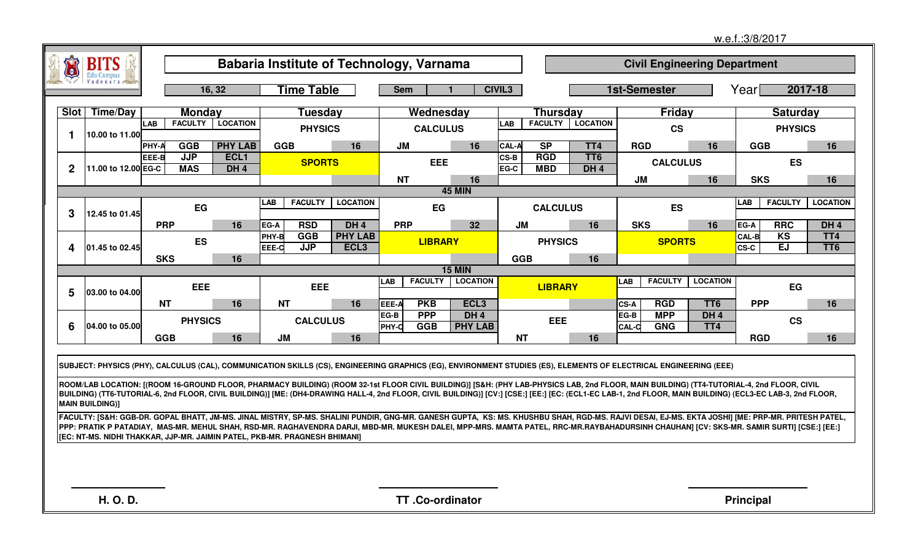|                  |                        |              |                                                                                                                                                                                                                                                                        |                                                 |                                    |               |                          |                                     |                    |                          |                                    |                     |                          |                                     | w.e.f.:3/8/2017  |                        |                                    |
|------------------|------------------------|--------------|------------------------------------------------------------------------------------------------------------------------------------------------------------------------------------------------------------------------------------------------------------------------|-------------------------------------------------|------------------------------------|---------------|--------------------------|-------------------------------------|--------------------|--------------------------|------------------------------------|---------------------|--------------------------|-------------------------------------|------------------|------------------------|------------------------------------|
| Ú                | <b>BITS</b>            |              |                                                                                                                                                                                                                                                                        | <b>Babaria Institute of Technology, Varnama</b> |                                    |               |                          |                                     |                    |                          |                                    |                     |                          | <b>Civil Engineering Department</b> |                  |                        |                                    |
|                  | Edu Campus             |              | 16, 32                                                                                                                                                                                                                                                                 | <b>Time Table</b>                               |                                    | <b>Sem</b>    |                          |                                     | CIVIL <sub>3</sub> |                          |                                    | <b>1st-Semester</b> |                          |                                     | Yearl            |                        | 2017-18                            |
| Slot             | Time/Day               |              | <b>Monday</b>                                                                                                                                                                                                                                                          | <b>Tuesday</b>                                  |                                    |               | Wednesday                |                                     |                    | <b>Thursday</b>          |                                    |                     | Friday                   |                                     |                  | <b>Saturday</b>        |                                    |
|                  |                        | LAB          | <b>LOCATION</b><br><b>FACULTY</b>                                                                                                                                                                                                                                      | <b>PHYSICS</b>                                  |                                    |               | <b>CALCULUS</b>          |                                     | <b>LAB</b>         | <b>FACULTY</b>           | <b>LOCATION</b>                    |                     | <b>CS</b>                |                                     |                  | <b>PHYSICS</b>         |                                    |
| -1               | 10.00 to 11.00         | <b>PHY-A</b> | <b>PHY LAB</b><br>GGB                                                                                                                                                                                                                                                  | <b>GGB</b>                                      | 16                                 | <b>JM</b>     |                          | 16                                  | <b>CAL-A</b>       | <b>SP</b>                | TT4                                | <b>RGD</b>          |                          | 16                                  | <b>GGB</b>       |                        | 16                                 |
| $\mathbf 2$      | 11.00 to 12.00 EG-C    | EEE-B        | <b>JJP</b><br>ECL <sub>1</sub><br><b>MAS</b><br>DH <sub>4</sub>                                                                                                                                                                                                        | <b>SPORTS</b>                                   |                                    |               | <b>EEE</b>               |                                     | CS-B<br>EG-C       | <b>RGD</b><br><b>MBD</b> | TT <sub>6</sub><br>DH <sub>4</sub> |                     | <b>CALCULUS</b>          |                                     |                  | <b>ES</b>              |                                    |
|                  |                        |              |                                                                                                                                                                                                                                                                        |                                                 |                                    | <b>NT</b>     |                          | 16                                  |                    |                          |                                    | JM                  |                          | 16                                  | <b>SKS</b>       |                        | 16                                 |
|                  |                        |              |                                                                                                                                                                                                                                                                        | <b>FACULTY</b><br><b>LAB</b>                    | <b>LOCATION</b>                    |               |                          | <b>45 MIN</b>                       |                    |                          |                                    |                     |                          |                                     | LAB              | <b>FACULTY</b>         | <b>LOCATION</b>                    |
| 3                | 12.45 to 01.45         |              | EG                                                                                                                                                                                                                                                                     |                                                 |                                    |               | EG                       |                                     |                    | <b>CALCULUS</b>          |                                    |                     | <b>ES</b>                |                                     |                  |                        |                                    |
|                  |                        | <b>PRP</b>   | 16                                                                                                                                                                                                                                                                     | <b>RSD</b><br><b>EG-A</b>                       | DH <sub>4</sub>                    | <b>PRP</b>    |                          | 32 <sub>2</sub>                     | <b>JM</b>          |                          | 16                                 | <b>SKS</b>          |                          | 16                                  | EG-A             | <b>RRC</b>             | DH <sub>4</sub>                    |
| $\boldsymbol{4}$ | 01.45 to 02.45         |              | ES                                                                                                                                                                                                                                                                     | <b>GGB</b><br>ІРНҮ-В<br><b>JJP</b><br>EEE-C     | <b>PHY LAB</b><br>ECL <sub>3</sub> |               | <b>LIBRARY</b>           |                                     |                    | <b>PHYSICS</b>           |                                    |                     | <b>SPORTS</b>            |                                     | CAL-B<br>CS-C    | <b>KS</b><br><b>EJ</b> | TT <sub>4</sub><br>TT <sub>6</sub> |
|                  |                        | <b>SKS</b>   | 16                                                                                                                                                                                                                                                                     |                                                 |                                    |               |                          | <b>15 MIN</b>                       | <b>GGB</b>         |                          | 16                                 |                     |                          |                                     |                  |                        |                                    |
|                  |                        |              |                                                                                                                                                                                                                                                                        |                                                 |                                    | <b>LAB</b>    | <b>FACULTY</b>           | <b>LOCATION</b>                     |                    |                          |                                    | LAB                 | <b>FACULTY</b>           | <b>LOCATION</b>                     |                  |                        |                                    |
| 5                | 03.00 to 04.00         |              | <b>EEE</b>                                                                                                                                                                                                                                                             | EEE                                             |                                    |               |                          |                                     |                    | <b>LIBRARY</b>           |                                    |                     |                          |                                     |                  | EG                     |                                    |
|                  |                        | <b>NT</b>    | 16                                                                                                                                                                                                                                                                     | <b>NT</b>                                       | 16                                 | EEE-A<br>EG-B | <b>PKB</b><br><b>PPP</b> | ECL <sub>3</sub><br>DH <sub>4</sub> |                    |                          |                                    | CS-A<br>EG-B        | <b>RGD</b><br><b>MPP</b> | TT <sub>6</sub><br>DH <sub>4</sub>  | <b>PPP</b>       |                        | 16                                 |
| 6                | 04.00 to 05.00         |              | <b>PHYSICS</b>                                                                                                                                                                                                                                                         | <b>CALCULUS</b>                                 |                                    | PHY-C         | GGB                      | <b>PHY LAB</b>                      |                    | EEE                      |                                    | CAL-C               | <b>GNG</b>               | TT <sub>4</sub>                     |                  | <b>CS</b>              |                                    |
|                  |                        | <b>GGB</b>   | 16                                                                                                                                                                                                                                                                     | <b>JM</b>                                       | 16                                 |               |                          |                                     | <b>NT</b>          |                          | 16                                 |                     |                          |                                     | <b>RGD</b>       |                        | 16                                 |
|                  |                        |              |                                                                                                                                                                                                                                                                        |                                                 |                                    |               |                          |                                     |                    |                          |                                    |                     |                          |                                     |                  |                        |                                    |
|                  |                        |              | SUBJECT: PHYSICS (PHY), CALCULUS (CAL), COMMUNICATION SKILLS (CS), ENGINEERING GRAPHICS (EG), ENVIRONMENT STUDIES (ES), ELEMENTS OF ELECTRICAL ENGINEERING (EEE)                                                                                                       |                                                 |                                    |               |                          |                                     |                    |                          |                                    |                     |                          |                                     |                  |                        |                                    |
|                  |                        |              | ROOM/LAB LOCATION: [(ROOM 16-GROUND FLOOR, PHARMACY BUILDING) (ROOM 32-1st FLOOR CIVIL BUILDING)] [S&H: (PHY LAB-PHYSICS LAB, 2nd FLOOR, MAIN BUILDING) (TT4-TUTORIAL-4, 2nd FLOOR, CIVIL                                                                              |                                                 |                                    |               |                          |                                     |                    |                          |                                    |                     |                          |                                     |                  |                        |                                    |
|                  | <b>MAIN BUILDING)]</b> |              | BUILDING) (TT6-TUTORIAL-6, 2nd FLOOR, CIVIL BUILDING)] [ME: (DH4-DRAWING HALL-4, 2nd FLOOR, CIVIL BUILDING)] [CV:] [CSE:] [EE:] [EC: (ECL1-EC LAB-1, 2nd FLOOR, MAIN BUILDING) (ECL3-EC LAB-3, 2nd FLOOR,                                                              |                                                 |                                    |               |                          |                                     |                    |                          |                                    |                     |                          |                                     |                  |                        |                                    |
|                  |                        |              | FACULTY: [S&H: GGB-DR. GOPAL BHATT, JM-MS. JINAL MISTRY, SP-MS. SHALINI PUNDIR, GNG-MR. GANESH GUPTA, KS: MS. KHUSHBU SHAH, RGD-MS. RAJVI DESAI, EJ-MS. EKTA JOSHI] [ME: PRP-MR. PRITESH PATEL,                                                                        |                                                 |                                    |               |                          |                                     |                    |                          |                                    |                     |                          |                                     |                  |                        |                                    |
|                  |                        |              | PPP: PRATIK P PATADIAY, MAS-MR. MEHUL SHAH, RSD-MR. RAGHAVENDRA DARJI, MBD-MR. MUKESH DALEI, MPP-MRS. MAMTA PATEL, RRC-MR.RAYBAHADURSINH CHAUHAN] [CV: SKS-MR. SAMIR SURTI] [CSE:] [EE:]<br>[EC: NT-MS. NIDHI THAKKAR, JJP-MR. JAIMIN PATEL, PKB-MR. PRAGNESH BHIMANI] |                                                 |                                    |               |                          |                                     |                    |                          |                                    |                     |                          |                                     |                  |                        |                                    |
|                  |                        |              |                                                                                                                                                                                                                                                                        |                                                 |                                    |               |                          |                                     |                    |                          |                                    |                     |                          |                                     |                  |                        |                                    |
|                  |                        |              |                                                                                                                                                                                                                                                                        |                                                 |                                    |               |                          |                                     |                    |                          |                                    |                     |                          |                                     |                  |                        |                                    |
|                  |                        |              |                                                                                                                                                                                                                                                                        |                                                 |                                    |               |                          |                                     |                    |                          |                                    |                     |                          |                                     |                  |                        |                                    |
|                  | <b>H.O.D.</b>          |              |                                                                                                                                                                                                                                                                        |                                                 |                                    |               | TT.Co-ordinator          |                                     |                    |                          |                                    |                     |                          |                                     | <b>Principal</b> |                        |                                    |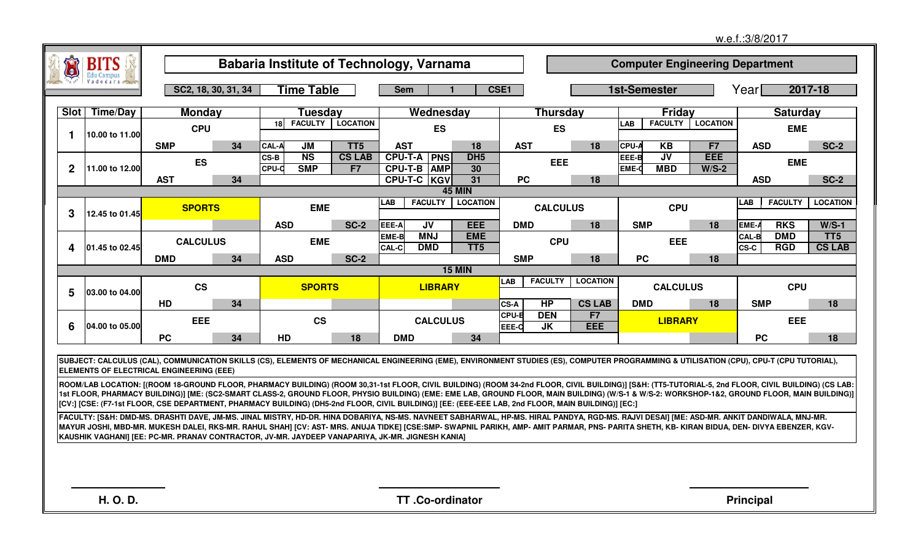|                  |                |                                                                                                                                                                                                                                                                                                                                                                                                                                                                                                                                                               |                     |                      |                                                             |                              |                           |                               |                |                         |                 |                       |                                        |                                        | w.e.f.: 3/8/2017     |                          |                                  |
|------------------|----------------|---------------------------------------------------------------------------------------------------------------------------------------------------------------------------------------------------------------------------------------------------------------------------------------------------------------------------------------------------------------------------------------------------------------------------------------------------------------------------------------------------------------------------------------------------------------|---------------------|----------------------|-------------------------------------------------------------|------------------------------|---------------------------|-------------------------------|----------------|-------------------------|-----------------|-----------------------|----------------------------------------|----------------------------------------|----------------------|--------------------------|----------------------------------|
|                  | <b>BITS</b>    |                                                                                                                                                                                                                                                                                                                                                                                                                                                                                                                                                               |                     |                      | Babaria Institute of Technology, Varnama                    |                              |                           |                               |                |                         |                 |                       |                                        | <b>Computer Engineering Department</b> |                      |                          |                                  |
|                  |                |                                                                                                                                                                                                                                                                                                                                                                                                                                                                                                                                                               | SC2, 18, 30, 31, 34 |                      | <b>Time Table</b>                                           | <b>Sem</b>                   |                           |                               | CSE1           |                         |                 | <b>1st-Semester</b>   |                                        |                                        | Yearl                |                          | 2017-18                          |
| Slot             | Time/Day       | <b>Monday</b>                                                                                                                                                                                                                                                                                                                                                                                                                                                                                                                                                 |                     |                      | Tuesday                                                     |                              | Wednesday                 |                               |                | <b>Thursday</b>         |                 |                       | Friday                                 |                                        |                      | <b>Saturday</b>          |                                  |
| 1                | 10.00 to 11.00 | <b>CPU</b>                                                                                                                                                                                                                                                                                                                                                                                                                                                                                                                                                    |                     | 18 <sup>1</sup>      | <b>FACULTY</b><br><b>LOCATION</b>                           |                              | <b>ES</b>                 |                               |                | <b>ES</b>               |                 | <b>LAB</b>            | <b>FACULTY</b>                         | <b>LOCATION</b>                        |                      | <b>EME</b>               |                                  |
|                  |                | <b>SMP</b>                                                                                                                                                                                                                                                                                                                                                                                                                                                                                                                                                    | 34                  | CAL-A                | $\overline{\mathsf{M}}$<br>TT <sub>5</sub>                  | <b>AST</b>                   |                           | 18                            | <b>AST</b>     |                         | 18              | <b>CPU-A</b>          | KB                                     | F7                                     | <b>ASD</b>           |                          | <b>SC-2</b>                      |
| $\boldsymbol{2}$ | 11.00 to 12.00 | <b>ES</b>                                                                                                                                                                                                                                                                                                                                                                                                                                                                                                                                                     |                     | CS-B<br><b>CPU-C</b> | $\overline{\text{NS}}$<br><b>CS LAB</b><br><b>SMP</b><br>F7 | <b>CPU-T-A</b>               | <b>PNS</b><br>CPU-T-B AMP | DH <sub>5</sub><br>30         |                | <b>EEE</b>              |                 | EEE-B<br><b>EME-O</b> | $\overline{\mathsf{UV}}$<br><b>MBD</b> | EEE<br>$W/S-2$                         |                      | <b>EME</b>               |                                  |
|                  |                | <b>AST</b>                                                                                                                                                                                                                                                                                                                                                                                                                                                                                                                                                    | 34                  |                      |                                                             |                              | CPU-T-C KGV               | 31                            | <b>PC</b>      |                         | 18              |                       |                                        |                                        | <b>ASD</b>           |                          | <b>SC-2</b>                      |
|                  |                |                                                                                                                                                                                                                                                                                                                                                                                                                                                                                                                                                               |                     |                      |                                                             |                              |                           | <b>45 MIN</b>                 |                |                         |                 |                       |                                        |                                        |                      |                          |                                  |
| 3                | 12.45 to 01.45 | <b>SPORTS</b>                                                                                                                                                                                                                                                                                                                                                                                                                                                                                                                                                 |                     |                      | <b>EME</b>                                                  | <b>LAB</b>                   | <b>FACULTY</b>            | <b>LOCATION</b>               |                | <b>CALCULUS</b>         |                 |                       | <b>CPU</b>                             |                                        | LAB                  | <b>FACULTY</b>           | <b>LOCATION</b>                  |
|                  |                |                                                                                                                                                                                                                                                                                                                                                                                                                                                                                                                                                               |                     | <b>ASD</b>           | <b>SC-2</b>                                                 | EEE-A                        | <b>JV</b>                 | <b>EEE</b>                    | <b>DMD</b>     |                         | 18              | <b>SMP</b>            |                                        | 18                                     | EME-A                | <b>RKS</b>               | $W/S-1$                          |
| 4                | 01.45 to 02.45 | <b>CALCULUS</b>                                                                                                                                                                                                                                                                                                                                                                                                                                                                                                                                               |                     |                      | <b>EME</b>                                                  | <b>EME-B</b><br><b>CAL-C</b> | <b>MNJ</b><br><b>DMD</b>  | <b>EME</b><br>TT <sub>5</sub> |                | <b>CPU</b>              |                 |                       | <b>EEE</b>                             |                                        | <b>CAL-B</b><br>CS-C | <b>DMD</b><br><b>RGD</b> | TT <sub>5</sub><br><b>CS LAB</b> |
|                  |                | <b>DMD</b>                                                                                                                                                                                                                                                                                                                                                                                                                                                                                                                                                    | 34                  | <b>ASD</b>           | <b>SC-2</b>                                                 |                              |                           |                               | <b>SMP</b>     |                         | 18              | <b>PC</b>             |                                        | 18                                     |                      |                          |                                  |
|                  |                |                                                                                                                                                                                                                                                                                                                                                                                                                                                                                                                                                               |                     |                      |                                                             |                              |                           | <b>15 MIN</b>                 |                |                         |                 |                       |                                        |                                        |                      |                          |                                  |
| 5                | 03.00 to 04.00 | <b>CS</b>                                                                                                                                                                                                                                                                                                                                                                                                                                                                                                                                                     |                     |                      | <b>SPORTS</b>                                               |                              | <b>LIBRARY</b>            |                               | LAB            | <b>FACULTY</b>          | <b>LOCATION</b> |                       | <b>CALCULUS</b>                        |                                        |                      | <b>CPU</b>               |                                  |
|                  |                | HD                                                                                                                                                                                                                                                                                                                                                                                                                                                                                                                                                            | 34                  |                      |                                                             |                              |                           |                               | CS-A           | <b>HP</b>               | <b>CS LAB</b>   | <b>DMD</b>            |                                        | 18                                     | <b>SMP</b>           |                          | 18                               |
| 6                | 04.00 to 05.00 | <b>EEE</b>                                                                                                                                                                                                                                                                                                                                                                                                                                                                                                                                                    |                     |                      | <b>CS</b>                                                   |                              | <b>CALCULUS</b>           |                               | CPU-B<br>EEE-C | <b>DEN</b><br><b>JK</b> | F7<br>EEE       |                       | <b>LIBRARY</b>                         |                                        |                      | EEE                      |                                  |
|                  |                | <b>PC</b>                                                                                                                                                                                                                                                                                                                                                                                                                                                                                                                                                     | 34                  | HD                   | 18                                                          | <b>DMD</b>                   |                           | 34                            |                |                         |                 |                       |                                        |                                        | <b>PC</b>            |                          | 18                               |
|                  |                | SUBJECT: CALCULUS (CAL), COMMUNICATION SKILLS (CS), ELEMENTS OF MECHANICAL ENGINEERING (EME), ENVIRONMENT STUDIES (ES), COMPUTER PROGRAMMING & UTILISATION (CPU), CPU-T (CPU TUTORIAL),<br><b>ELEMENTS OF ELECTRICAL ENGINEERING (EEE)</b>                                                                                                                                                                                                                                                                                                                    |                     |                      |                                                             |                              |                           |                               |                |                         |                 |                       |                                        |                                        |                      |                          |                                  |
|                  |                | ROOM/LAB LOCATION: [(ROOM 18-GROUND FLOOR, PHARMACY BUILDING) (ROOM 30,31-1st FLOOR, CIVIL BUILDING) (ROOM 34-2nd FLOOR, CIVIL BUILDING)] [S&H: (TT5-TUTORIAL-5, 2nd FLOOR, CIVIL BUILDING) (CS LAB:<br>[1st FLOOR, PHARMACY BUILDING)] [ME: (SC2-SMART CLASS-2, GROUND FLOOR, PHYSIO BUILDING) (EME: EME LAB, GROUND FLOOR, MAIN BUILDING) (W/S-1 & W/S-2: WORKSHOP-1&2, GROUND FLOOR, MAIN BUILDING)]<br>[CV:] [CSE: (F7-1st FLOOR, CSE DEPARTMENT, PHARMACY BUILDING) (DH5-2nd FLOOR, CIVIL BUILDING)] [EE: (EEE-EEE LAB, 2nd FLOOR, MAIN BUILDING)] [EC:] |                     |                      |                                                             |                              |                           |                               |                |                         |                 |                       |                                        |                                        |                      |                          |                                  |
|                  |                | FACULTY: [S&H: DMD-MS. DRASHTI DAVE, JM-MS. JINAL MISTRY, HD-DR. HINA DOBARIYA, NS-MS. NAVNEET SABHARWAL, HP-MS. HIRAL PANDYA, RGD-MS. RAJVI DESAI] [ME: ASD-MR. ANKIT DANDIWALA, MNJ-MR.<br>MAYUR JOSHI, MBD-MR. MUKESH DALEI, RKS-MR. RAHUL SHAH] [CV: AST- MRS. ANUJA TIDKE] [CSE:SMP- SWAPNIL PARIKH, AMP- AMIT PARMAR, PNS- PARITA SHETH, KB- KIRAN BIDUA, DEN- DIVYA EBENZER, KGV-<br>KAUSHIK VAGHANI] [EE: PC-MR. PRANAV CONTRACTOR, JV-MR. JAYDEEP VANAPARIYA, JK-MR. JIGNESH KANIA]                                                                  |                     |                      |                                                             |                              |                           |                               |                |                         |                 |                       |                                        |                                        |                      |                          |                                  |
|                  |                |                                                                                                                                                                                                                                                                                                                                                                                                                                                                                                                                                               |                     |                      |                                                             |                              |                           |                               |                |                         |                 |                       |                                        |                                        |                      |                          |                                  |
|                  |                |                                                                                                                                                                                                                                                                                                                                                                                                                                                                                                                                                               |                     |                      |                                                             |                              |                           |                               |                |                         |                 |                       |                                        |                                        |                      |                          |                                  |
|                  | H. O. D.       |                                                                                                                                                                                                                                                                                                                                                                                                                                                                                                                                                               |                     |                      |                                                             |                              | TT.Co-ordinator           |                               |                |                         |                 |                       |                                        |                                        | <b>Principal</b>     |                          |                                  |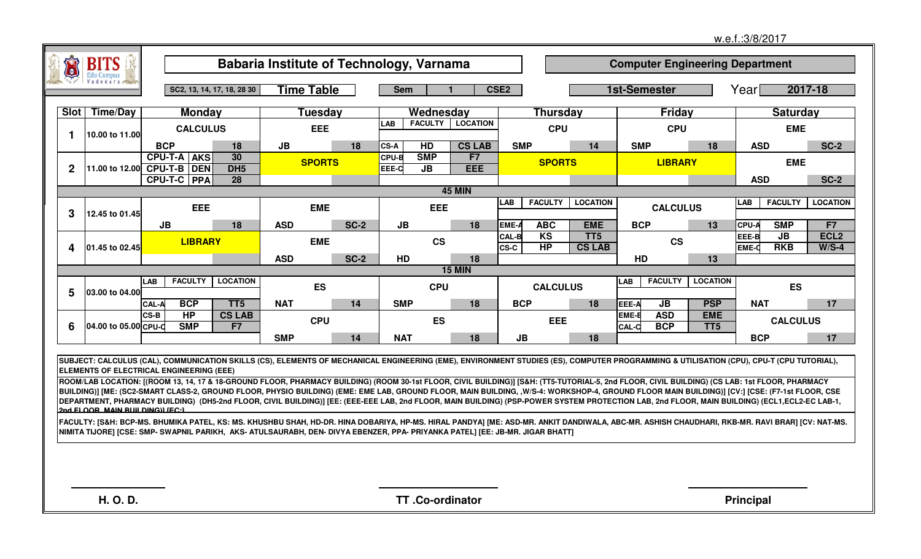| $\bullet$        |                                          |                            |                                 |                                                                                                                                                                                                                                                                                                                                                                                                                                                                                                                                                                                                   |             |                                           |                  |                             |                     |                                  |                       |                          |                                        |                       |                     |                             |
|------------------|------------------------------------------|----------------------------|---------------------------------|---------------------------------------------------------------------------------------------------------------------------------------------------------------------------------------------------------------------------------------------------------------------------------------------------------------------------------------------------------------------------------------------------------------------------------------------------------------------------------------------------------------------------------------------------------------------------------------------------|-------------|-------------------------------------------|------------------|-----------------------------|---------------------|----------------------------------|-----------------------|--------------------------|----------------------------------------|-----------------------|---------------------|-----------------------------|
|                  | <b>BITS</b>                              |                            |                                 | Babaria Institute of Technology, Varnama                                                                                                                                                                                                                                                                                                                                                                                                                                                                                                                                                          |             |                                           |                  |                             |                     |                                  |                       |                          | <b>Computer Engineering Department</b> |                       |                     |                             |
|                  |                                          |                            | SC2, 13, 14, 17, 18, 28 30      | <b>Time Table</b>                                                                                                                                                                                                                                                                                                                                                                                                                                                                                                                                                                                 |             | <b>Sem</b>                                |                  | CSE <sub>2</sub>            |                     |                                  | <b>1st-Semester</b>   |                          |                                        | Yearl                 | 2017-18             |                             |
| Slot             | <b>Time/Day</b>                          |                            | <b>Monday</b>                   | Tuesdav                                                                                                                                                                                                                                                                                                                                                                                                                                                                                                                                                                                           |             | Wednesday                                 |                  |                             | <b>Thursday</b>     |                                  |                       | Friday                   |                                        |                       | <b>Saturday</b>     |                             |
| $\mathbf{1}$     | 10.00 to 11.00                           |                            | <b>CALCULUS</b>                 | <b>EEE</b>                                                                                                                                                                                                                                                                                                                                                                                                                                                                                                                                                                                        |             | <b>LAB</b><br><b>FACULTY</b>              | <b>LOCATION</b>  |                             | <b>CPU</b>          |                                  |                       | <b>CPU</b>               |                                        |                       | <b>EME</b>          |                             |
|                  |                                          | <b>BCP</b>                 | 18                              | JB                                                                                                                                                                                                                                                                                                                                                                                                                                                                                                                                                                                                | 18          | HD<br><b>CS-A</b>                         | <b>CS LAB</b>    | <b>SMP</b>                  |                     | 14                               | <b>SMP</b>            |                          | 18                                     | <b>ASD</b>            |                     | <b>SC-2</b>                 |
| $\boldsymbol{2}$ | 11.00 to 12.00 CPU-T-B DEN               | <b>CPU-T-A</b>             | 30<br><b>AKS</b><br>DH5         | <b>SPORTS</b>                                                                                                                                                                                                                                                                                                                                                                                                                                                                                                                                                                                     |             | <b>CPU-B</b><br><b>SMP</b><br>EEE-C<br>JB | F7<br><b>EEE</b> |                             | <b>SPORTS</b>       |                                  |                       | <b>LIBRARY</b>           |                                        |                       | <b>EME</b>          |                             |
|                  |                                          | <b>CPU-T-C PPA</b>         | $\overline{28}$                 |                                                                                                                                                                                                                                                                                                                                                                                                                                                                                                                                                                                                   |             |                                           |                  |                             |                     |                                  |                       |                          |                                        | <b>ASD</b>            |                     | $SC-2$                      |
|                  |                                          |                            |                                 |                                                                                                                                                                                                                                                                                                                                                                                                                                                                                                                                                                                                   |             |                                           | <b>45 MIN</b>    |                             |                     |                                  |                       |                          |                                        |                       |                     |                             |
| 3                | 12.45 to 01.45                           |                            | EEE                             | <b>EME</b>                                                                                                                                                                                                                                                                                                                                                                                                                                                                                                                                                                                        |             | <b>EEE</b>                                |                  | <b>LAB</b>                  | <b>FACULTY</b>      | <b>LOCATION</b>                  |                       | <b>CALCULUS</b>          |                                        | LAB                   | <b>FACULTY</b>      | <b>LOCATION</b>             |
|                  |                                          | JB                         | 18                              | <b>ASD</b>                                                                                                                                                                                                                                                                                                                                                                                                                                                                                                                                                                                        | <b>SC-2</b> | JB                                        | 18               | EME-                        | <b>ABC</b>          | <b>EME</b>                       | <b>BCP</b>            |                          | 13                                     | <b>CPU-A</b>          | <b>SMP</b>          | F7                          |
| 4                | 01.45 to 02.45                           |                            | <b>LIBRARY</b>                  | <b>EME</b>                                                                                                                                                                                                                                                                                                                                                                                                                                                                                                                                                                                        |             | <b>CS</b>                                 |                  | <b>CAL-B</b><br><b>CS-C</b> | K <sub>S</sub><br>H | TT <sub>5</sub><br><b>CS LAB</b> |                       | <b>CS</b>                |                                        | EEE-B<br><b>EME-C</b> | $J$ B<br><b>RKB</b> | ECL <sub>2</sub><br>$W/S-4$ |
|                  |                                          |                            |                                 | <b>ASD</b>                                                                                                                                                                                                                                                                                                                                                                                                                                                                                                                                                                                        | <b>SC-2</b> | HD                                        | 18               |                             |                     |                                  | HD                    |                          | 13                                     |                       |                     |                             |
|                  |                                          | <b>FACULTY</b>             | <b>LOCATION</b>                 |                                                                                                                                                                                                                                                                                                                                                                                                                                                                                                                                                                                                   |             |                                           | <b>15 MIN</b>    |                             |                     |                                  |                       | <b>FACULTY</b>           | <b>LOCATION</b>                        |                       |                     |                             |
| 5                | 03.00 to 04.00                           | <b>LAB</b>                 |                                 | <b>ES</b>                                                                                                                                                                                                                                                                                                                                                                                                                                                                                                                                                                                         |             | <b>CPU</b>                                |                  |                             | <b>CALCULUS</b>     |                                  | <b>LAB</b>            |                          |                                        |                       | <b>ES</b>           |                             |
|                  |                                          | <b>BCP</b><br><b>CAL-A</b> | TT <sub>5</sub>                 | <b>NAT</b>                                                                                                                                                                                                                                                                                                                                                                                                                                                                                                                                                                                        | 14          | <b>SMP</b>                                | 18               | <b>BCP</b>                  |                     | 18                               | EEE-A                 | JB                       | <b>PSP</b>                             | <b>NAT</b>            |                     | 17                          |
| 6                | 04.00 to 05.00 CPU-D                     | H<br>CS-B<br><b>SMP</b>    | <b>CS LAB</b><br>F <sub>7</sub> | <b>CPU</b>                                                                                                                                                                                                                                                                                                                                                                                                                                                                                                                                                                                        |             | <b>ES</b>                                 |                  |                             | <b>EEE</b>          |                                  | EME-B<br><b>CAL-C</b> | <b>ASD</b><br><b>BCP</b> | <b>EME</b><br>TT <sub>5</sub>          |                       | <b>CALCULUS</b>     |                             |
|                  |                                          |                            |                                 | <b>SMP</b>                                                                                                                                                                                                                                                                                                                                                                                                                                                                                                                                                                                        | 14          | <b>NAT</b>                                | 18               | <b>JB</b>                   |                     | 18                               |                       |                          |                                        | <b>BCP</b>            |                     | 17                          |
|                  | ELEMENTS OF ELECTRICAL ENGINEERING (EEE) |                            |                                 | SUBJECT: CALCULUS (CAL), COMMUNICATION SKILLS (CS), ELEMENTS OF MECHANICAL ENGINEERING (EME), ENVIRONMENT STUDIES (ES), COMPUTER PROGRAMMING & UTILISATION (CPU), CPU-T (CPU TUTORIAL),                                                                                                                                                                                                                                                                                                                                                                                                           |             |                                           |                  |                             |                     |                                  |                       |                          |                                        |                       |                     |                             |
|                  | 2nd ELOOR MAIN RUILDING LEC-1            |                            |                                 | ROOM/LAB LOCATION: [(ROOM 13, 14, 17 & 18-GROUND FLOOR, PHARMACY BUILDING) (ROOM 30-1st FLOOR, CIVIL BUILDING)] [S&H: (TT5-TUTORIAL-5, 2nd FLOOR, CIVIL BUILDING) (CS LAB: 1st FLOOR, PHARMACY<br>BUILDING)] [ME: (SC2-SMART CLASS-2, GROUND FLOOR, PHYSIO BUILDING) (EME: EME LAB, GROUND FLOOR, MAIN BUILDING, .W/S-4: WORKSHOP-4, GROUND FLOOR MAIN BUILDING)] [CV:] [CSE: (F7-1st FLOOR, CSE<br>DEPARTMENT, PHARMACY BUILDING) (DH5-2nd FLOOR, CIVIL BUILDING)] [EE: (EEE-EEE LAB, 2nd FLOOR, MAIN BUILDING) (PSP-POWER SYSTEM PROTECTION LAB, 2nd FLOOR, MAIN BUILDING) (ECL1,ECL2-EC LAB-1, |             |                                           |                  |                             |                     |                                  |                       |                          |                                        |                       |                     |                             |
|                  |                                          |                            |                                 | [FACULTY: [S&H: BCP-MS. BHUMIKA PATEL, KS: MS. KHUSHBU SHAH, HD-DR. HINA DOBARIYA, HP-MS. HIRAL PANDYA] [ME: ASD-MR. ANKIT DANDIWALA, ABC-MR. ASHISH CHAUDHARI, RKB-MR. RAVI BRAR] [CV: NAT-MS.<br>NIMITA TIJORE] [CSE: SMP- SWAPNIL PARIKH,  AKS- ATULSAURABH, DEN- DIVYA EBENZER, PPA- PRIYANKA PATEL] [EE: JB-MR. JIGAR BHATT]                                                                                                                                                                                                                                                                 |             |                                           |                  |                             |                     |                                  |                       |                          |                                        |                       |                     |                             |
|                  |                                          |                            |                                 |                                                                                                                                                                                                                                                                                                                                                                                                                                                                                                                                                                                                   |             |                                           |                  |                             |                     |                                  |                       |                          |                                        |                       |                     |                             |
|                  |                                          |                            |                                 |                                                                                                                                                                                                                                                                                                                                                                                                                                                                                                                                                                                                   |             |                                           |                  |                             |                     |                                  |                       |                          |                                        |                       |                     |                             |
|                  | <b>H.O.D.</b>                            |                            |                                 |                                                                                                                                                                                                                                                                                                                                                                                                                                                                                                                                                                                                   |             | TT.Co-ordinator                           |                  |                             |                     |                                  |                       |                          |                                        | <b>Principal</b>      |                     |                             |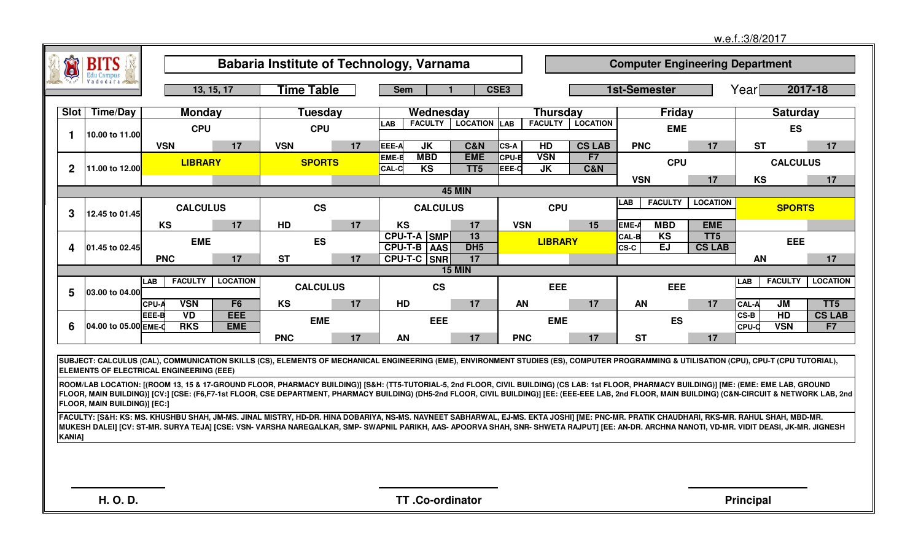|               |                                     |                                                 |                          |                        |    |                                                                                                                                                                                                                                                                                                                                                                                                                                                                                                                                                                                                   |                               |                                                  |                                  |                                         |                                  | w.e.f.:3/8/2017                            |                     |
|---------------|-------------------------------------|-------------------------------------------------|--------------------------|------------------------|----|---------------------------------------------------------------------------------------------------------------------------------------------------------------------------------------------------------------------------------------------------------------------------------------------------------------------------------------------------------------------------------------------------------------------------------------------------------------------------------------------------------------------------------------------------------------------------------------------------|-------------------------------|--------------------------------------------------|----------------------------------|-----------------------------------------|----------------------------------|--------------------------------------------|---------------------|
|               | <b>BITS</b>                         |                                                 |                          |                        |    | Babaria Institute of Technology, Varnama                                                                                                                                                                                                                                                                                                                                                                                                                                                                                                                                                          |                               |                                                  |                                  | <b>Computer Engineering Department</b>  |                                  |                                            |                     |
|               |                                     |                                                 | 13, 15, 17               | <b>Time Table</b>      |    | <b>Sem</b>                                                                                                                                                                                                                                                                                                                                                                                                                                                                                                                                                                                        |                               | CSE3                                             |                                  | 1st-Semester                            |                                  | Yearl                                      | 2017-18             |
| Slot          | <b>Time/Day</b>                     | <b>Monday</b>                                   |                          | <b>Tuesday</b>         |    | Wednesday                                                                                                                                                                                                                                                                                                                                                                                                                                                                                                                                                                                         |                               | <b>Thursday</b>                                  |                                  | <b>Friday</b>                           |                                  |                                            | <b>Saturday</b>     |
|               |                                     | <b>CPU</b>                                      |                          | <b>CPU</b>             |    | <b>FACULTY</b><br><b>LAB</b>                                                                                                                                                                                                                                                                                                                                                                                                                                                                                                                                                                      | <b>LOCATION LAB</b>           | <b>FACULTY</b>                                   | <b>LOCATION</b>                  | <b>EME</b>                              |                                  |                                            | ES                  |
| -1            | 10.00 to 11.00                      | <b>VSN</b>                                      | 17                       | <b>VSN</b>             | 17 | EEE-A<br>JK                                                                                                                                                                                                                                                                                                                                                                                                                                                                                                                                                                                       | <b>C&amp;N</b>                | HD<br><b>CS-A</b>                                | <b>CS LAB</b>                    | <b>PNC</b>                              | 17                               | <b>ST</b>                                  | 17                  |
| $\mathbf 2$   | 11.00 to 12.00                      | <b>LIBRARY</b>                                  |                          | <b>SPORTS</b>          |    | <b>MBD</b><br>EME-B<br>K <sub>S</sub><br><b>CAL-C</b>                                                                                                                                                                                                                                                                                                                                                                                                                                                                                                                                             | <b>EME</b><br>TT <sub>5</sub> | <b>VSN</b><br><b>CPU-B</b><br>EEE-C<br><b>JK</b> | F <sub>7</sub><br><b>C&amp;N</b> | <b>CPU</b>                              |                                  |                                            | <b>CALCULUS</b>     |
|               |                                     |                                                 |                          |                        |    |                                                                                                                                                                                                                                                                                                                                                                                                                                                                                                                                                                                                   |                               |                                                  |                                  | <b>VSN</b>                              | 17                               | <b>KS</b>                                  | 17                  |
| 3             | 12.45 to 01.45                      | <b>CALCULUS</b>                                 |                          | $\mathbf{c}\mathbf{s}$ |    | <b>CALCULUS</b>                                                                                                                                                                                                                                                                                                                                                                                                                                                                                                                                                                                   | <b>45 MIN</b>                 | <b>CPU</b>                                       |                                  | LAB <sub>L</sub><br><b>FACULTY</b>      | <b>LOCATION</b>                  |                                            | <b>SPORTS</b>       |
|               |                                     | <b>KS</b>                                       | 17                       | <b>HD</b>              | 17 | <b>KS</b>                                                                                                                                                                                                                                                                                                                                                                                                                                                                                                                                                                                         | 17                            | <b>VSN</b>                                       | 15                               | <b>MBD</b><br>EME-A                     | <b>EME</b>                       |                                            |                     |
| 4             | 01.45 to 02.45                      | <b>EME</b>                                      |                          | <b>ES</b>              |    | CPU-T-A SMP<br><b>CPU-T-B AAS</b>                                                                                                                                                                                                                                                                                                                                                                                                                                                                                                                                                                 | 13<br>DH <sub>5</sub>         | <b>LIBRARY</b>                                   |                                  | KS<br><b>CAL-B</b><br>EJ<br><b>CS-C</b> | TT <sub>5</sub><br><b>CS LAB</b> |                                            | EEE                 |
|               |                                     | <b>PNC</b>                                      | 17                       | <b>ST</b>              | 17 | CPU-T-C SNR                                                                                                                                                                                                                                                                                                                                                                                                                                                                                                                                                                                       | 17<br><b>15 MIN</b>           |                                                  |                                  |                                         |                                  | AN                                         | 17                  |
| 5             | 03.00 to 04.00                      | <b>FACULTY</b><br><b>LAB</b>                    | <b>LOCATION</b>          | <b>CALCULUS</b>        |    | <b>CS</b>                                                                                                                                                                                                                                                                                                                                                                                                                                                                                                                                                                                         |                               | EEE                                              |                                  | <b>EEE</b>                              |                                  | <b>FACULTY</b><br>LAB                      | <b>LOCATION</b>     |
|               |                                     | <b>VSN</b><br><b>CPU-A</b>                      | F <sub>6</sub>           | KS                     | 17 | HD                                                                                                                                                                                                                                                                                                                                                                                                                                                                                                                                                                                                | 17                            | AN                                               | 17                               | AN                                      | 17                               | <b>CAL-A</b><br>JM                         | TT <sub>5</sub>     |
| 6             | 04.00 to 05.00 EME-0                | <b>VD</b><br>EEE-B<br><b>RKS</b>                | <b>EEE</b><br><b>EME</b> | <b>EME</b>             |    | <b>EEE</b>                                                                                                                                                                                                                                                                                                                                                                                                                                                                                                                                                                                        |                               | <b>EME</b>                                       |                                  | <b>ES</b>                               |                                  | HD<br>$CS-B$<br><b>VSN</b><br><b>CPU-D</b> | <b>CS LAB</b><br>F7 |
|               |                                     |                                                 |                          | <b>PNC</b>             | 17 | AN                                                                                                                                                                                                                                                                                                                                                                                                                                                                                                                                                                                                | 17                            | <b>PNC</b>                                       | 17                               | <b>ST</b>                               | 17                               |                                            |                     |
|               |                                     | <b>ELEMENTS OF ELECTRICAL ENGINEERING (EEE)</b> |                          |                        |    | SUBJECT: CALCULUS (CAL), COMMUNICATION SKILLS (CS), ELEMENTS OF MECHANICAL ENGINEERING (EME), ENVIRONMENT STUDIES (ES), COMPUTER PROGRAMMING & UTILISATION (CPU), CPU-T (CPU TUTORIAL),<br>ROOM/LAB LOCATION: [(ROOM 13, 15 & 17-GROUND FLOOR, PHARMACY BUILDING)] [S&H: (TT5-TUTORIAL-5, 2nd FLOOR, CIVIL BUILDING) (CS LAB: 1st FLOOR, PHARMACY BUILDING)] [ME: (EME: EME LAB, GROUND<br>[FLOOR, MAIN BUILDING)] [CV:] [CSE: (F6,F7-1st FLOOR, CSE DEPARTMENT, PHARMACY BUILDING) (DH5-2nd FLOOR, CIVIL BUILDING)] [EE: (EEE-EEE LAB, 2nd FLOOR, MAIN BUILDING) (C&N-CIRCUIT & NETWORK LAB, 2nd |                               |                                                  |                                  |                                         |                                  |                                            |                     |
| <b>KANIA]</b> | <b>FLOOR, MAIN BUILDING)] [EC:]</b> |                                                 |                          |                        |    | FACULTY: [S&H: KS: MS. KHUSHBU SHAH, JM-MS. JINAL MISTRY, HD-DR. HINA DOBARIYA, NS-MS. NAVNEET SABHARWAL, EJ-MS. EKTA JOSHI] [ME: PNC-MR. PRATIK CHAUDHARI, RKS-MR. RAHUL SHAH, MBD-MR.<br>MUKESH DALEI] [CV: ST-MR. SURYA TEJA] [CSE: VSN- VARSHA NAREGALKAR, SMP- SWAPNIL PARIKH, AAS- APOORVA SHAH, SNR- SHWETA RAJPUT] [EE: AN-DR. ARCHNA NANOTI, VD-MR. VIDIT DEASI, JK-MR. JIGNESH                                                                                                                                                                                                          |                               |                                                  |                                  |                                         |                                  |                                            |                     |
|               | H. O. D.                            |                                                 |                          |                        |    | TT.Co-ordinator                                                                                                                                                                                                                                                                                                                                                                                                                                                                                                                                                                                   |                               |                                                  |                                  |                                         |                                  | <b>Principal</b>                           |                     |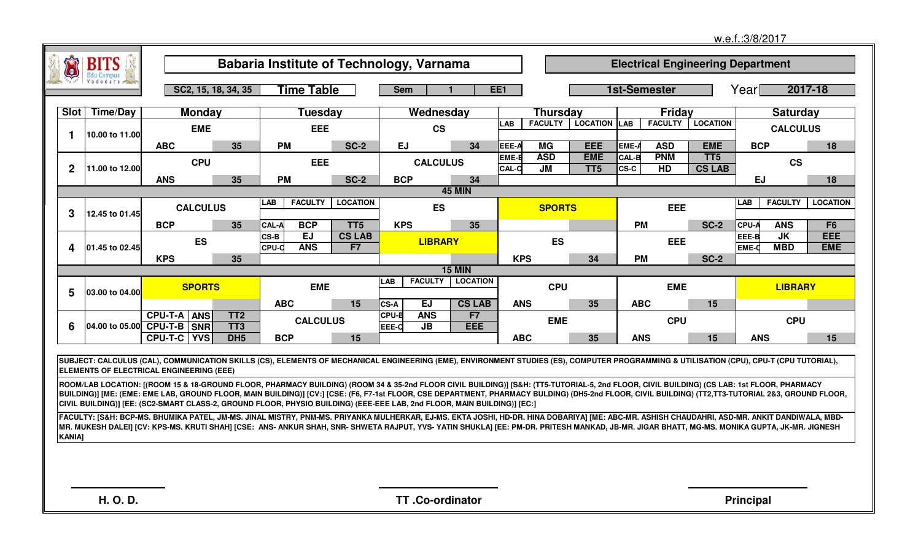|                |                 |                                                            |                                    |                                                                                                                                                                                                                                                                                                                                                                                                                                                                                                                             |                     |                                                          |                       |                 |                         |                               |                      |                  |                                          | w.e.f.: 3/8/2017      |                         |                   |
|----------------|-----------------|------------------------------------------------------------|------------------------------------|-----------------------------------------------------------------------------------------------------------------------------------------------------------------------------------------------------------------------------------------------------------------------------------------------------------------------------------------------------------------------------------------------------------------------------------------------------------------------------------------------------------------------------|---------------------|----------------------------------------------------------|-----------------------|-----------------|-------------------------|-------------------------------|----------------------|------------------|------------------------------------------|-----------------------|-------------------------|-------------------|
| O              | <b>BITS</b>     |                                                            |                                    | Babaria Institute of Technology, Varnama                                                                                                                                                                                                                                                                                                                                                                                                                                                                                    |                     |                                                          |                       |                 |                         |                               |                      |                  | <b>Electrical Engineering Department</b> |                       |                         |                   |
|                |                 |                                                            | SC2, 15, 18, 34, 35                | Time Table                                                                                                                                                                                                                                                                                                                                                                                                                                                                                                                  |                     | <b>Sem</b>                                               |                       | EE <sub>1</sub> |                         |                               | 1st-Semester         |                  |                                          | Year                  | 2017-18                 |                   |
| Slot           | <b>Time/Day</b> | <b>Monday</b>                                              |                                    | Tuesdav                                                                                                                                                                                                                                                                                                                                                                                                                                                                                                                     |                     | Wednesday                                                |                       |                 | <b>Thursday</b>         |                               |                      | Friday           |                                          |                       | <b>Saturday</b>         |                   |
|                |                 | <b>EME</b>                                                 |                                    | <b>EEE</b>                                                                                                                                                                                                                                                                                                                                                                                                                                                                                                                  |                     | <b>CS</b>                                                |                       | <b>LAB</b>      | <b>FACULTY</b>          | <b>LOCATION LAB</b>           |                      | <b>FACULTY</b>   | <b>LOCATION</b>                          |                       | <b>CALCULUS</b>         |                   |
| 1              | 10.00 to 11.00  | <b>ABC</b>                                                 | 35                                 | <b>PM</b>                                                                                                                                                                                                                                                                                                                                                                                                                                                                                                                   | <b>SC-2</b>         | <b>EJ</b>                                                | 34                    | EEE-A           | MG                      | <b>EEE</b>                    | EME-A                | <b>ASD</b>       | <b>EME</b>                               | <b>BCP</b>            |                         | 18                |
| $\overline{2}$ | 11.00 to 12.00  | <b>CPU</b>                                                 |                                    | EEE                                                                                                                                                                                                                                                                                                                                                                                                                                                                                                                         |                     | <b>CALCULUS</b>                                          |                       | EME-E<br>CAL-C  | <b>ASD</b><br><b>JM</b> | <b>EME</b><br>TT <sub>5</sub> | <b>CAL-B</b><br>CS-C | <b>PNM</b><br>HD | TT5<br><b>CS LAB</b>                     |                       | <b>CS</b>               |                   |
|                |                 | <b>ANS</b>                                                 | 35                                 | <b>PM</b>                                                                                                                                                                                                                                                                                                                                                                                                                                                                                                                   | <b>SC-2</b>         | <b>BCP</b>                                               | 34                    |                 |                         |                               |                      |                  |                                          | <b>EJ</b>             |                         | 18                |
|                |                 |                                                            |                                    |                                                                                                                                                                                                                                                                                                                                                                                                                                                                                                                             |                     |                                                          | <b>45 MIN</b>         |                 |                         |                               |                      |                  |                                          |                       |                         |                   |
| 3              | 12.45 to 01.45  | <b>CALCULUS</b>                                            |                                    | <b>FACULTY</b><br><b>LAB</b>                                                                                                                                                                                                                                                                                                                                                                                                                                                                                                | <b>LOCATION</b>     | <b>ES</b>                                                |                       |                 | <b>SPORTS</b>           |                               |                      | <b>EEE</b>       |                                          | LAB                   | <b>FACULTY</b>          | <b>LOCATION</b>   |
|                |                 | <b>BCP</b>                                                 | 35                                 | <b>BCP</b><br><b>CAL-A</b>                                                                                                                                                                                                                                                                                                                                                                                                                                                                                                  | TT <sub>5</sub>     | <b>KPS</b>                                               | 35                    |                 |                         |                               | <b>PM</b>            |                  | <b>SC-2</b>                              | CPU-A                 | <b>ANS</b>              | F <sub>6</sub>    |
| 4              | 01.45 to 02.45  | <b>ES</b>                                                  |                                    | <b>EJ</b><br>CS-B<br><b>ANS</b><br><b>CPU-D</b>                                                                                                                                                                                                                                                                                                                                                                                                                                                                             | <b>CS LAB</b><br>F7 | <b>LIBRARY</b>                                           |                       |                 | <b>ES</b>               |                               |                      | <b>EEE</b>       |                                          | EEE-B<br><b>EME-C</b> | <b>JK</b><br><b>MBD</b> | EEE<br><b>EME</b> |
|                |                 | <b>KPS</b>                                                 | 35                                 |                                                                                                                                                                                                                                                                                                                                                                                                                                                                                                                             |                     |                                                          |                       | <b>KPS</b>      |                         | 34                            | <b>PM</b>            |                  | <b>SC-2</b>                              |                       |                         |                   |
|                |                 |                                                            |                                    |                                                                                                                                                                                                                                                                                                                                                                                                                                                                                                                             |                     |                                                          | <b>15 MIN</b>         |                 |                         |                               |                      |                  |                                          |                       |                         |                   |
| 5              | 03.00 to 04.00  | <b>SPORTS</b>                                              |                                    | <b>EME</b>                                                                                                                                                                                                                                                                                                                                                                                                                                                                                                                  |                     | <b>FACULTY</b><br><b>LAB</b>                             | <b>LOCATION</b>       |                 | <b>CPU</b>              |                               |                      | <b>EME</b>       |                                          |                       | <b>LIBRARY</b>          |                   |
|                |                 |                                                            |                                    | <b>ABC</b>                                                                                                                                                                                                                                                                                                                                                                                                                                                                                                                  | 15                  | <b>EJ</b><br>CS-A                                        | <b>CS LAB</b>         | <b>ANS</b>      |                         | 35                            | <b>ABC</b>           |                  | 15                                       |                       |                         |                   |
| 6              |                 | <b>CPU-T-A</b><br><b>ANS</b><br>04.00 to 05.00 CPU-T-B SNR | TT <sub>2</sub><br>TT <sub>3</sub> | <b>CALCULUS</b>                                                                                                                                                                                                                                                                                                                                                                                                                                                                                                             |                     | CPU-B<br><b>ANS</b><br>EEE-C<br>$\overline{\mathsf{JB}}$ | F <sub>7</sub><br>EEE |                 | <b>EME</b>              |                               |                      | <b>CPU</b>       |                                          |                       | <b>CPU</b>              |                   |
|                |                 | <b>CPU-T-C YVS</b>                                         | DH <sub>5</sub>                    | <b>BCP</b>                                                                                                                                                                                                                                                                                                                                                                                                                                                                                                                  | 15                  |                                                          |                       | <b>ABC</b>      |                         | 35                            | <b>ANS</b>           |                  | 15                                       | <b>ANS</b>            |                         | 15                |
|                |                 | <b>ELEMENTS OF ELECTRICAL ENGINEERING (EEE)</b>            |                                    | SUBJECT: CALCULUS (CAL), COMMUNICATION SKILLS (CS), ELEMENTS OF MECHANICAL ENGINEERING (EME), ENVIRONMENT STUDIES (ES), COMPUTER PROGRAMMING & UTILISATION (CPU), CPU-T (CPU TUTORIAL),                                                                                                                                                                                                                                                                                                                                     |                     |                                                          |                       |                 |                         |                               |                      |                  |                                          |                       |                         |                   |
|                |                 |                                                            |                                    | ROOM/LAB LOCATION: [(ROOM 15 & 18-GROUND FLOOR, PHARMACY BUILDING) (ROOM 34 & 35-2nd FLOOR CIVIL BUILDING)] [S&H: (TT5-TUTORIAL-5, 2nd FLOOR, CIVIL BUILDING) (CS LAB: 1st FLOOR, PHARMACY<br>BUILDING)] [ME: (EME: EME LAB, GROUND FLOOR, MAIN BUILDING)] [CV:] [CSE: (F6, F7-1st FLOOR, CSE DEPARTMENT, PHARMACY BULDING) (DH5-2nd FLOOR, CIVIL BUILDING) (TT2,TT3-TUTORIAL 2&3, GROUND FLOOR,<br>CIVIL BUILDING)] [EE: (SC2-SMART CLASS-2, GROUND FLOOR, PHYSIO BUILDING) (EEE-EEE LAB, 2nd FLOOR, MAIN BUILDING)] [EC:] |                     |                                                          |                       |                 |                         |                               |                      |                  |                                          |                       |                         |                   |
| <b>KANIA]</b>  |                 |                                                            |                                    | FACULTY: [S&H: BCP-MS. BHUMIKA PATEL, JM-MS. JINAL MISTRY, PNM-MS. PRIYANKA MULHERKAR, EJ-MS. EKTA JOSHI, HD-DR. HINA DOBARIYA] [ME: ABC-MR. ASHISH CHAUDAHRI, ASD-MR. ANKIT DANDIWALA, MBD-<br>MR. MUKESH DALEI] [CV: KPS-MS. KRUTI SHAH] [CSE: ANS- ANKUR SHAH, SNR- SHWETA RAJPUT, YVS- YATIN SHUKLA] [EE: PM-DR. PRITESH MANKAD, JB-MR. JIGAR BHATT, MG-MS. MONIKA GUPTA, JK-MR. JIGNESH                                                                                                                                |                     |                                                          |                       |                 |                         |                               |                      |                  |                                          |                       |                         |                   |
|                |                 |                                                            |                                    |                                                                                                                                                                                                                                                                                                                                                                                                                                                                                                                             |                     |                                                          |                       |                 |                         |                               |                      |                  |                                          |                       |                         |                   |
|                |                 |                                                            |                                    |                                                                                                                                                                                                                                                                                                                                                                                                                                                                                                                             |                     |                                                          |                       |                 |                         |                               |                      |                  |                                          |                       |                         |                   |
|                | <b>H.O.D.</b>   |                                                            |                                    |                                                                                                                                                                                                                                                                                                                                                                                                                                                                                                                             |                     | TT.Co-ordinator                                          |                       |                 |                         |                               |                      |                  |                                          | <b>Principal</b>      |                         |                   |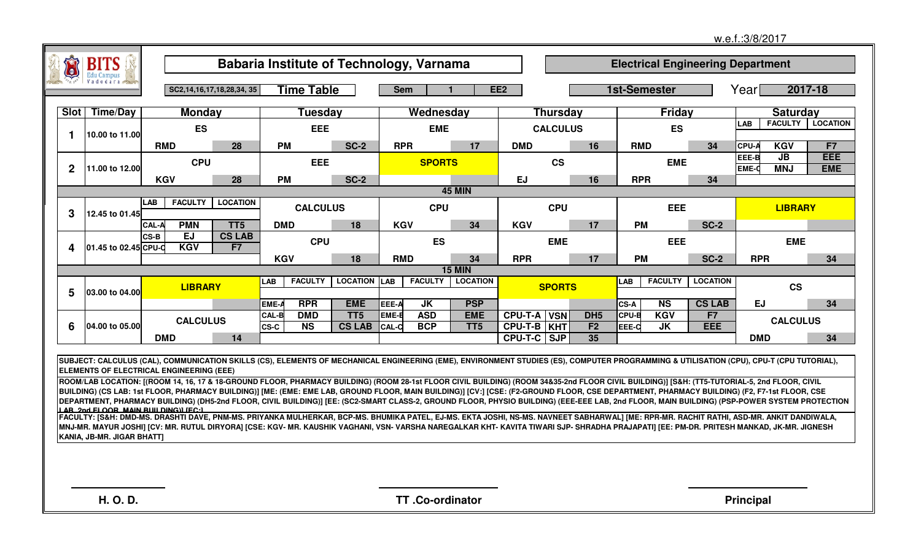|                |                            |                                                                                                                                                                                                                                          |                                  |              |                        | Babaria Institute of Technology, Varnama |              |                |                 |                               |                 |                       |                     |                | <b>Electrical Engineering Department</b> |              |                 |                 |
|----------------|----------------------------|------------------------------------------------------------------------------------------------------------------------------------------------------------------------------------------------------------------------------------------|----------------------------------|--------------|------------------------|------------------------------------------|--------------|----------------|-----------------|-------------------------------|-----------------|-----------------------|---------------------|----------------|------------------------------------------|--------------|-----------------|-----------------|
|                |                            |                                                                                                                                                                                                                                          | SC2, 14, 16, 17, 18, 28, 34, 35  |              | Time Table             |                                          | <b>Sem</b>   |                |                 | EE <sub>2</sub>               |                 |                       | <b>1st-Semester</b> |                |                                          | Year         |                 | 2017-18         |
| <b>Slot</b>    | <b>Time/Day</b>            | <b>Monday</b>                                                                                                                                                                                                                            |                                  |              | Tuesday                |                                          |              | Wednesday      |                 |                               | <b>Thursday</b> |                       |                     | Friday         |                                          |              | <b>Saturday</b> |                 |
|                |                            | <b>ES</b>                                                                                                                                                                                                                                |                                  |              | <b>EEE</b>             |                                          |              | <b>EME</b>     |                 |                               | <b>CALCULUS</b> |                       |                     | <b>ES</b>      |                                          | LAB          | <b>FACULTY</b>  | <b>LOCATION</b> |
| 1              | 10.00 to 11.00             | <b>RMD</b>                                                                                                                                                                                                                               | 28                               | <b>PM</b>    |                        | <b>SC-2</b>                              | <b>RPR</b>   |                | 17              | <b>DMD</b>                    |                 | 16                    | <b>RMD</b>          |                | 34                                       | CPU-A        | <b>KGV</b>      | F7              |
|                |                            | <b>CPU</b>                                                                                                                                                                                                                               |                                  |              | <b>EEE</b>             |                                          |              | <b>SPORTS</b>  |                 |                               | <b>CS</b>       |                       |                     | <b>EME</b>     |                                          | EEE-B        | <b>JB</b>       | EEE             |
| $\overline{2}$ | 11.00 to 12.00             |                                                                                                                                                                                                                                          |                                  |              |                        |                                          |              |                |                 |                               |                 |                       |                     |                |                                          | <b>EME-C</b> | <b>MNJ</b>      | <b>EME</b>      |
|                |                            | <b>KGV</b>                                                                                                                                                                                                                               | 28                               | <b>PM</b>    |                        | <b>SC-2</b>                              |              |                | <b>45 MIN</b>   | <b>EJ</b>                     |                 | 16                    | <b>RPR</b>          |                | 34                                       |              |                 |                 |
|                |                            | <b>FACULTY</b><br><b>LAB</b>                                                                                                                                                                                                             | <b>LOCATION</b>                  |              | <b>CALCULUS</b>        |                                          |              | <b>CPU</b>     |                 |                               | <b>CPU</b>      |                       |                     | <b>EEE</b>     |                                          |              | <b>LIBRARY</b>  |                 |
| 3              | 12.45 to 01.45             |                                                                                                                                                                                                                                          |                                  |              |                        |                                          |              |                |                 |                               |                 |                       |                     |                |                                          |              |                 |                 |
|                |                            | <b>PMN</b><br>CAL-A<br><b>EJ</b><br>CS-B                                                                                                                                                                                                 | TT <sub>5</sub><br><b>CS LAB</b> | <b>DMD</b>   |                        | 18                                       | <b>KGV</b>   |                | 34              | <b>KGV</b>                    |                 | 17                    | <b>PM</b>           |                | <b>SC-2</b>                              |              |                 |                 |
| 4              | 01.45 to 02.45 CPU-C       | <b>KGV</b>                                                                                                                                                                                                                               | F7                               |              | <b>CPU</b>             |                                          |              | <b>ES</b>      |                 |                               | <b>EME</b>      |                       |                     | <b>EEE</b>     |                                          |              | <b>EME</b>      |                 |
|                |                            |                                                                                                                                                                                                                                          |                                  | <b>KGV</b>   |                        | 18                                       | <b>RMD</b>   |                | 34              | <b>RPR</b>                    |                 | 17                    | <b>PM</b>           |                | <b>SC-2</b>                              | <b>RPR</b>   |                 | 34              |
|                |                            |                                                                                                                                                                                                                                          |                                  |              | <b>FACULTY</b>         |                                          |              |                | <b>15 MIN</b>   |                               |                 |                       |                     |                |                                          |              |                 |                 |
| 5              | 03.00 to 04.00             | <b>LIBRARY</b>                                                                                                                                                                                                                           |                                  | LAB          |                        | <b>LOCATION LAB</b>                      |              | <b>FACULTY</b> | <b>LOCATION</b> |                               | <b>SPORTS</b>   |                       | LAB                 | <b>FACULTY</b> | <b>LOCATION</b>                          |              | <b>CS</b>       |                 |
|                |                            |                                                                                                                                                                                                                                          |                                  | EME-/        | <b>RPR</b>             | <b>EME</b>                               | EEE-A        | <b>JK</b>      | <b>PSP</b>      |                               |                 |                       | CS-A                | <b>NS</b>      | <b>CS LAB</b>                            | <b>EJ</b>    |                 | 34              |
|                |                            | <b>CALCULUS</b>                                                                                                                                                                                                                          |                                  | <b>CAL-B</b> | <b>DMD</b>             | TT <sub>5</sub>                          | EME-B        | <b>ASD</b>     | <b>EME</b>      | CPU-T-A                       | <b>VSN</b>      | DH <sub>5</sub>       | <b>CPU-B</b>        | <b>KGV</b>     | F7                                       |              | <b>CALCULUS</b> |                 |
| 6              | 04.00 to 05.00             | <b>DMD</b>                                                                                                                                                                                                                               | 14                               | CS-C         | $\overline{\text{NS}}$ | <b>CS LAB</b>                            | <b>CAL-C</b> | <b>BCP</b>     | TT <sub>5</sub> | CPU-T-B KHT<br><b>CPU-T-C</b> | <b>SJP</b>      | F2<br>$\overline{35}$ | EEE-C               | <b>JK</b>      | EEE                                      | <b>DMD</b>   |                 | 34              |
|                |                            |                                                                                                                                                                                                                                          |                                  |              |                        |                                          |              |                |                 |                               |                 |                       |                     |                |                                          |              |                 |                 |
|                |                            | SUBJECT: CALCULUS (CAL), COMMUNICATION SKILLS (CS), ELEMENTS OF MECHANICAL ENGINEERING (EME), ENVIRONMENT STUDIES (ES), COMPUTER PROGRAMMING & UTILISATION (CPU), CPU-T (CPU TUTORIAL),                                                  |                                  |              |                        |                                          |              |                |                 |                               |                 |                       |                     |                |                                          |              |                 |                 |
|                |                            | ELEMENTS OF ELECTRICAL ENGINEERING (EEE)<br>ROOM/LAB LOCATION: [(ROOM 14, 16, 17 & 18-GROUND FLOOR, PHARMACY BUILDING) (ROOM 28-1st FLOOR CIVIL BUILDING) (ROOM 34&35-2nd FLOOR CIVIL BUILDING)] [S&H: (TT5-TUTORIAL-5, 2nd FLOOR, CIVIL |                                  |              |                        |                                          |              |                |                 |                               |                 |                       |                     |                |                                          |              |                 |                 |
|                |                            | BUILDING) (CS LAB: 1st FLOOR, PHARMACY BUILDING)] [ME: (EME: EME LAB, GROUND FLOOR, MAIN BUILDING)] [CV:] [CSE: (F2-GROUND FLOOR, CSE DEPARTMENT, PHARMACY BUILDING) (F2, F7-1st FLOOR, CSE                                              |                                  |              |                        |                                          |              |                |                 |                               |                 |                       |                     |                |                                          |              |                 |                 |
|                |                            | DEPARTMENT, PHARMACY BUILDING) (DH5-2nd FLOOR, CIVIL BUILDING)] [EE: (SC2-SMART CLASS-2, GROUND FLOOR, PHYSIO BUILDING) (EEE-EEE LAB, 2nd FLOOR, MAIN BUILDING) (PSP-POWER SYSTEM PROTECTION                                             |                                  |              |                        |                                          |              |                |                 |                               |                 |                       |                     |                |                                          |              |                 |                 |
|                |                            | ן גם ישמע בן הספ שטוש פווי חואפע נבכיו.<br> FACULTY: [S&H: DMD-MS. DRASHTI DAVE, PNM-MS. PRIYANKA MULHERKAR, BCP-MS. BHUMIKA PATEL, EJ-MS. EKTA JOSHI, NS-MS. NAVNEET SABHARWAL] [ME: RPR-MR. RACHIT RATHI, ASD-MR. ANKIT DANDIW         |                                  |              |                        |                                          |              |                |                 |                               |                 |                       |                     |                |                                          |              |                 |                 |
|                | KANIA, JB-MR. JIGAR BHATT] | MNJ-MR. MAYUR JOSHI] [CV: MR. RUTUL DIRYORA] [CSE: KGV- MR. KAUSHIK VAGHANI, VSN- VARSHA NAREGALKAR KHT- KAVITA TIWARI SJP- SHRADHA PRAJAPATI] [EE: PM-DR. PRITESH MANKAD, JK-MR. JIGNESH                                                |                                  |              |                        |                                          |              |                |                 |                               |                 |                       |                     |                |                                          |              |                 |                 |
|                |                            |                                                                                                                                                                                                                                          |                                  |              |                        |                                          |              |                |                 |                               |                 |                       |                     |                |                                          |              |                 |                 |
|                |                            |                                                                                                                                                                                                                                          |                                  |              |                        |                                          |              |                |                 |                               |                 |                       |                     |                |                                          |              |                 |                 |
|                |                            |                                                                                                                                                                                                                                          |                                  |              |                        |                                          |              |                |                 |                               |                 |                       |                     |                |                                          |              |                 |                 |
|                |                            |                                                                                                                                                                                                                                          |                                  |              |                        |                                          |              |                |                 |                               |                 |                       |                     |                |                                          |              |                 |                 |

w.e.f.:3/8/2017